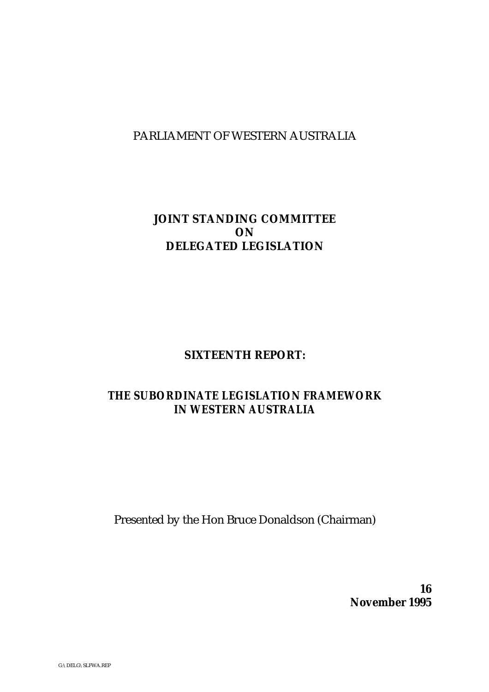# PARLIAMENT OF WESTERN AUSTRALIA

# **JOINT STANDING COMMITTEE ON DELEGATED LEGISLATION**

# **SIXTEENTH REPORT:**

# *THE SUBORDINATE LEGISLATION FRAMEWORK IN WESTERN AUSTRALIA*

Presented by the Hon Bruce Donaldson (Chairman)

**16 November 1995**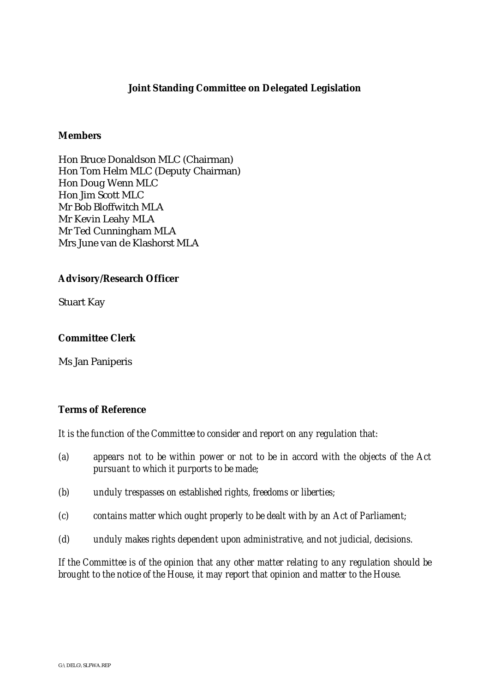# **Joint Standing Committee on Delegated Legislation**

## **Members**

Hon Bruce Donaldson MLC (Chairman) Hon Tom Helm MLC (Deputy Chairman) Hon Doug Wenn MLC Hon Jim Scott MLC Mr Bob Bloffwitch MLA Mr Kevin Leahy MLA Mr Ted Cunningham MLA Mrs June van de Klashorst MLA

## **Advisory/Research Officer**

Stuart Kay

## **Committee Clerk**

Ms Jan Paniperis

# **Terms of Reference**

*It is the function of the Committee to consider and report on any regulation that:*

- *(a) appears not to be within power or not to be in accord with the objects of the Act pursuant to which it purports to be made;*
- *(b) unduly trespasses on established rights, freedoms or liberties;*
- *(c) contains matter which ought properly to be dealt with by an Act of Parliament;*
- *(d) unduly makes rights dependent upon administrative, and not judicial, decisions.*

*If the Committee is of the opinion that any other matter relating to any regulation should be brought to the notice of the House, it may report that opinion and matter to the House.*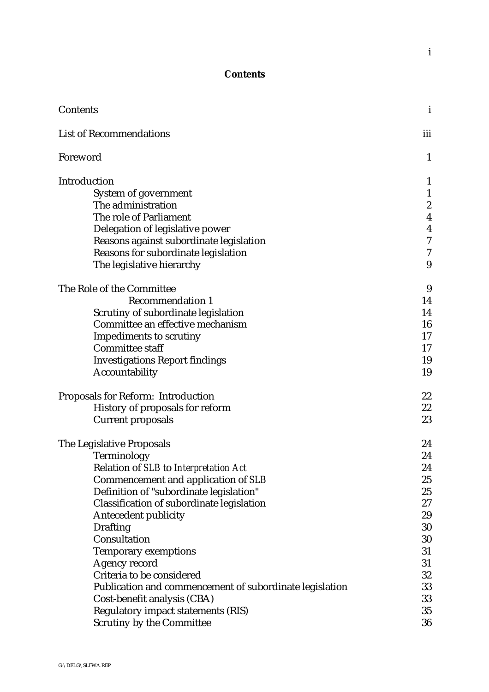# **Contents**

| Contents                                                |                  |  |
|---------------------------------------------------------|------------------|--|
| <b>List of Recommendations</b>                          |                  |  |
| Foreword                                                | $\mathbf{1}$     |  |
| Introduction                                            | $\mathbf{1}$     |  |
| System of government                                    | $\mathbf{1}$     |  |
| The administration                                      | $\boldsymbol{2}$ |  |
| The role of Parliament                                  | $\boldsymbol{4}$ |  |
| Delegation of legislative power                         | $\boldsymbol{4}$ |  |
| Reasons against subordinate legislation                 | 7                |  |
| Reasons for subordinate legislation                     | 7                |  |
| The legislative hierarchy                               | 9                |  |
| The Role of the Committee                               | 9                |  |
| <b>Recommendation 1</b>                                 | 14               |  |
| Scrutiny of subordinate legislation                     | 14               |  |
| Committee an effective mechanism                        | 16               |  |
| <b>Impediments to scrutiny</b>                          | 17               |  |
| <b>Committee staff</b>                                  | 17               |  |
| <b>Investigations Report findings</b>                   | 19               |  |
| Accountability                                          | 19               |  |
| <b>Proposals for Reform: Introduction</b>               | 22               |  |
| History of proposals for reform                         | 22               |  |
| <b>Current proposals</b>                                | 23               |  |
| The Legislative Proposals                               | 24               |  |
| Terminology                                             | 24               |  |
| Relation of SLB to Interpretation Act                   | 24               |  |
| Commencement and application of SLB                     | 25               |  |
| Definition of "subordinate legislation"                 | 25               |  |
| Classification of subordinate legislation               | 27               |  |
| <b>Antecedent publicity</b>                             | 29               |  |
| <b>Drafting</b>                                         | 30               |  |
| Consultation                                            | 30               |  |
| <b>Temporary exemptions</b>                             | 31               |  |
| Agency record                                           | 31               |  |
| Criteria to be considered                               | 32               |  |
| Publication and commencement of subordinate legislation | 33               |  |
| Cost-benefit analysis (CBA)                             | 33               |  |
| <b>Regulatory impact statements (RIS)</b>               | 35               |  |
| <b>Scrutiny by the Committee</b>                        | 36               |  |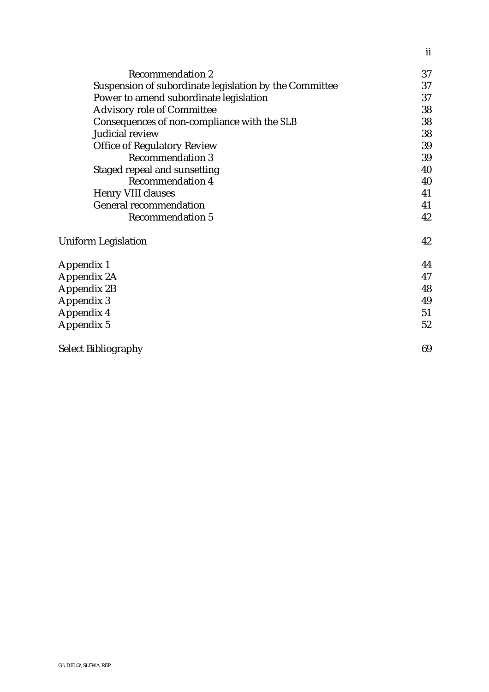| <b>Recommendation 2</b>                                | 37 |  |
|--------------------------------------------------------|----|--|
| Suspension of subordinate legislation by the Committee |    |  |
| Power to amend subordinate legislation                 | 37 |  |
| <b>Advisory role of Committee</b>                      | 38 |  |
| Consequences of non-compliance with the SLB            |    |  |
| Judicial review                                        | 38 |  |
| <b>Office of Regulatory Review</b>                     | 39 |  |
| <b>Recommendation 3</b>                                | 39 |  |
| Staged repeal and sunsetting                           | 40 |  |
| <b>Recommendation 4</b>                                | 40 |  |
| Henry VIII clauses                                     |    |  |
| <b>General recommendation</b>                          | 41 |  |
| <b>Recommendation 5</b>                                | 42 |  |
| <b>Uniform Legislation</b>                             | 42 |  |
| Appendix 1                                             | 44 |  |
| Appendix 2A                                            |    |  |
| <b>Appendix 2B</b>                                     | 48 |  |
| Appendix 3                                             | 49 |  |
| Appendix 4                                             |    |  |
| Appendix 5                                             | 52 |  |
| <b>Select Bibliography</b>                             |    |  |

ii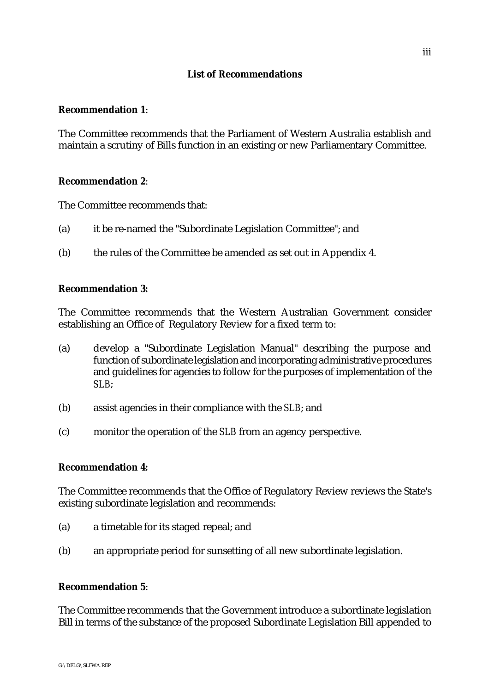# **List of Recommendations**

## **Recommendation 1**:

The Committee recommends that the Parliament of Western Australia establish and maintain a scrutiny of Bills function in an existing or new Parliamentary Committee.

## **Recommendation 2**:

The Committee recommends that:

- (a) it be re-named the "Subordinate Legislation Committee"; and
- (b) the rules of the Committee be amended as set out in Appendix 4.

## **Recommendation 3:**

The Committee recommends that the Western Australian Government consider establishing an Office of Regulatory Review for a fixed term to:

- (a) develop a "Subordinate Legislation Manual" describing the purpose and function of subordinate legislation and incorporating administrative procedures and guidelines for agencies to follow for the purposes of implementation of the *SLB*;
- (b) assist agencies in their compliance with the *SLB*; and
- (c) monitor the operation of the *SLB* from an agency perspective.

# **Recommendation 4:**

The Committee recommends that the Office of Regulatory Review reviews the State's existing subordinate legislation and recommends:

- (a) a timetable for its staged repeal; and
- (b) an appropriate period for sunsetting of all new subordinate legislation.

#### **Recommendation 5**:

The Committee recommends that the Government introduce a subordinate legislation Bill in terms of the substance of the proposed Subordinate Legislation Bill appended to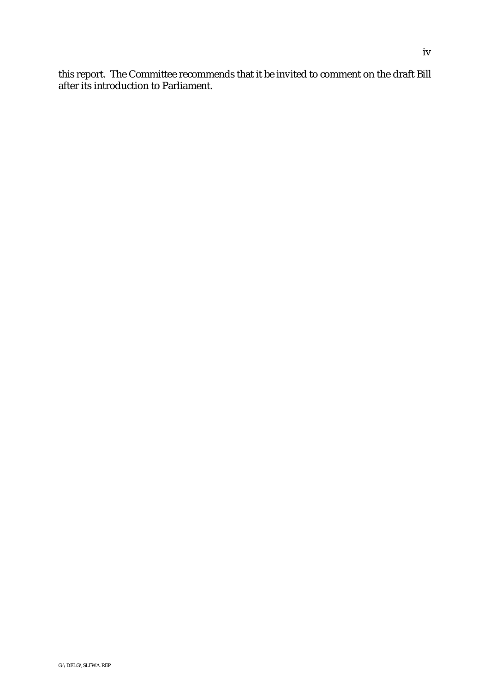this report. The Committee recommends that it be invited to comment on the draft Bill after its introduction to Parliament.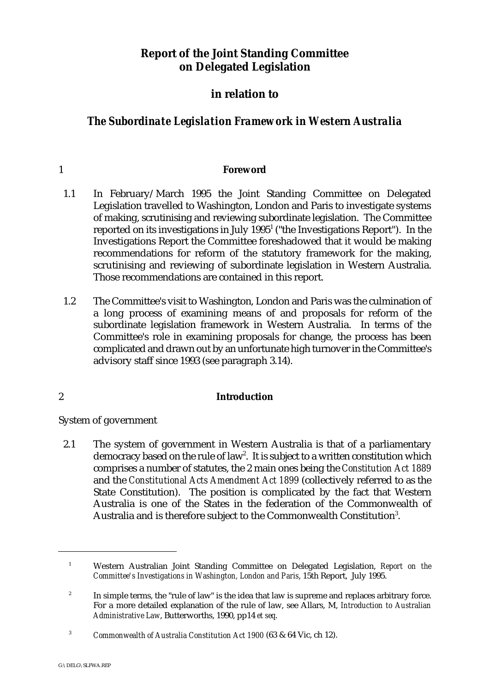# **Report of the Joint Standing Committee on Delegated Legislation**

# **in relation to**

# *The Subordinate Legislation Framework in Western Australia*

# 1 **Foreword**

- 1.1 In February/March 1995 the Joint Standing Committee on Delegated Legislation travelled to Washington, London and Paris to investigate systems of making, scrutinising and reviewing subordinate legislation. The Committee reported on its investigations in July  $1995<sup>1</sup>$  ("the Investigations Report"). In the Investigations Report the Committee foreshadowed that it would be making recommendations for reform of the statutory framework for the making, scrutinising and reviewing of subordinate legislation in Western Australia. Those recommendations are contained in this report.
- 1.2 The Committee's visit to Washington, London and Paris was the culmination of a long process of examining means of and proposals for reform of the subordinate legislation framework in Western Australia. In terms of the Committee's role in examining proposals for change, the process has been complicated and drawn out by an unfortunate high turnover in the Committee's advisory staff since 1993 (see paragraph 3.14).

# 2 **Introduction**

System of government

2.1 The system of government in Western Australia is that of a parliamentary democracy based on the rule of law<sup>2</sup>. It is subject to a written constitution which comprises a number of statutes, the 2 main ones being the *Constitution Act 1889* and the *Constitutional Acts Amendment Act 1899* (collectively referred to as the State Constitution). The position is complicated by the fact that Western Australia is one of the States in the federation of the Commonwealth of Australia and is therefore subject to the Commonwealth Constitution<sup>3</sup>.

Western Australian Joint Standing Committee on Delegated Legislation, *Report on the* <sup>1</sup> *Committee's Investigations in Washington, London and Paris*, 15th Report, July 1995.

<sup>&</sup>lt;sup>2</sup> In simple terms, the "rule of law" is the idea that law is supreme and replaces arbitrary force. For a more detailed explanation of the rule of law, see Allars, M, *Introduction to Australian Administrative Law*, Butterworths, 1990, pp14 *et seq*.

<sup>&</sup>lt;sup>3</sup> Commonwealth of Australia Constitution Act 1900 (63 & 64 Vic, ch 12).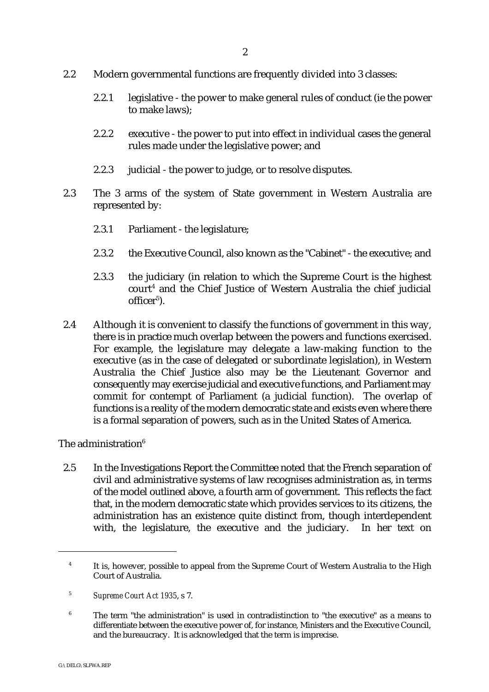- 2.2 Modern governmental functions are frequently divided into 3 classes:
	- 2.2.1 legislative the power to make general rules of conduct (ie the power to make laws);
	- 2.2.2 executive the power to put into effect in individual cases the general rules made under the legislative power; and
	- 2.2.3 judicial the power to judge, or to resolve disputes.
- 2.3 The 3 arms of the system of State government in Western Australia are represented by:
	- 2.3.1 Parliament the legislature;
	- 2.3.2 the Executive Council, also known as the "Cabinet" the executive; and
	- 2.3.3 the judiciary (in relation to which the Supreme Court is the highest  $\text{court}^4$  and the Chief Justice of Western Australia the chief judicial office $r^5$ ).
- 2.4 Although it is convenient to classify the functions of government in this way, there is in practice much overlap between the powers and functions exercised. For example, the legislature may delegate a law-making function to the executive (as in the case of delegated or subordinate legislation), in Western Australia the Chief Justice also may be the Lieutenant Governor and consequently may exercise judicial and executive functions, and Parliament may commit for contempt of Parliament (a judicial function). The overlap of functions is a reality of the modern democratic state and exists even where there is a formal separation of powers, such as in the United States of America.

## The administration $6$

2.5 In the Investigations Report the Committee noted that the French separation of civil and administrative systems of law recognises administration as, in terms of the model outlined above, a fourth arm of government. This reflects the fact that, in the modern democratic state which provides services to its citizens, the administration has an existence quite distinct from, though interdependent with, the legislature, the executive and the judiciary. In her text on

<sup>&</sup>lt;sup>4</sup> It is, however, possible to appeal from the Supreme Court of Western Australia to the High Court of Australia.

<sup>&</sup>lt;sup>5</sup> Supreme Court Act 1935, s 7.

 $6$  The term "the administration" is used in contradistinction to "the executive" as a means to differentiate between the executive power of, for instance, Ministers and the Executive Council, and the bureaucracy. It is acknowledged that the term is imprecise.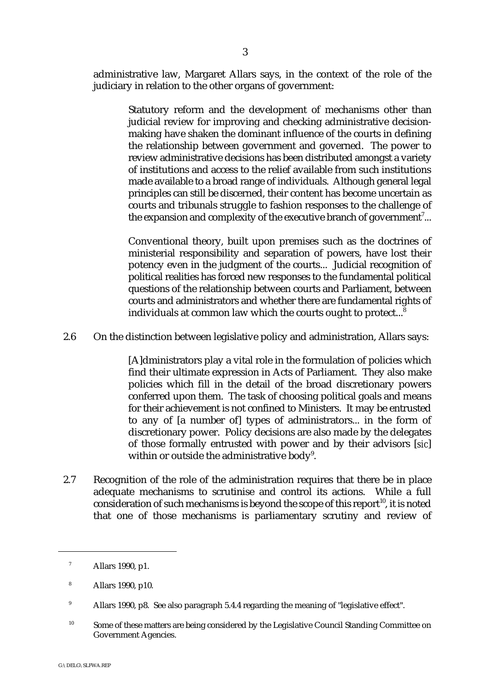administrative law, Margaret Allars says, in the context of the role of the judiciary in relation to the other organs of government:

> Statutory reform and the development of mechanisms other than judicial review for improving and checking administrative decisionmaking have shaken the dominant influence of the courts in defining the relationship between government and governed. The power to review administrative decisions has been distributed amongst a variety of institutions and access to the relief available from such institutions made available to a broad range of individuals. Although general legal principles can still be discerned, their content has become uncertain as courts and tribunals struggle to fashion responses to the challenge of the expansion and complexity of the executive branch of government<sup>7</sup>...

> Conventional theory, built upon premises such as the doctrines of ministerial responsibility and separation of powers, have lost their potency even in the judgment of the courts... Judicial recognition of political realities has forced new responses to the fundamental political questions of the relationship between courts and Parliament, between courts and administrators and whether there are fundamental rights of individuals at common law which the courts ought to protect...<sup>8</sup>

2.6 On the distinction between legislative policy and administration, Allars says:

[A]dministrators play a vital role in the formulation of policies which find their ultimate expression in Acts of Parliament. They also make policies which fill in the detail of the broad discretionary powers conferred upon them. The task of choosing political goals and means for their achievement is not confined to Ministers. It may be entrusted to any of [a number of] types of administrators... in the form of discretionary power. Policy decisions are also made by the delegates of those formally entrusted with power and by their advisors [*sic*] within or outside the administrative body $9$ .

2.7 Recognition of the role of the administration requires that there be in place adequate mechanisms to scrutinise and control its actions. While a full consideration of such mechanisms is beyond the scope of this report<sup>10</sup>, it is noted that one of those mechanisms is parliamentary scrutiny and review of

 $^7$  Allars 1990, p1.

Allars 1990, p10. <sup>8</sup>

<sup>&</sup>lt;sup>9</sup> Allars 1990, p8. See also paragraph 5.4.4 regarding the meaning of "legislative effect".

 $10$  Some of these matters are being considered by the Legislative Council Standing Committee on Government Agencies.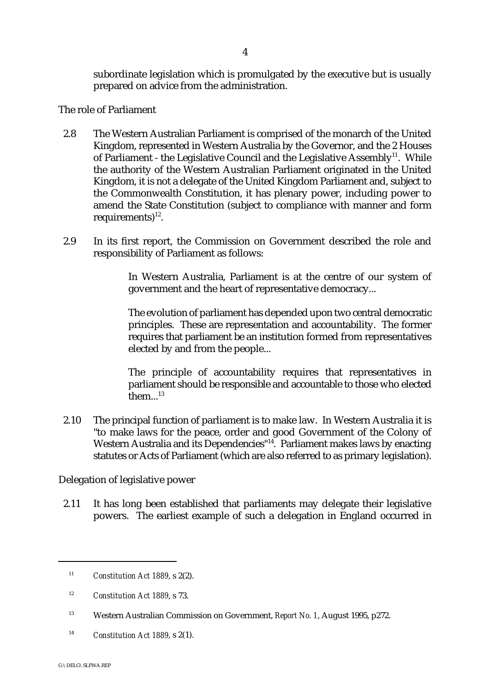subordinate legislation which is promulgated by the executive but is usually prepared on advice from the administration.

The role of Parliament

- 2.8 The Western Australian Parliament is comprised of the monarch of the United Kingdom, represented in Western Australia by the Governor, and the 2 Houses of Parliament - the Legislative Council and the Legislative Assembly<sup>11</sup>. While the authority of the Western Australian Parliament originated in the United Kingdom, it is not a delegate of the United Kingdom Parliament and, subject to the Commonwealth Constitution, it has plenary power, including power to amend the State Constitution (subject to compliance with manner and form requirements) $^{12}$ .
- 2.9 In its first report, the Commission on Government described the role and responsibility of Parliament as follows:

In Western Australia, Parliament is at the centre of our system of government and the heart of representative democracy...

The evolution of parliament has depended upon two central democratic principles. These are representation and accountability. The former requires that parliament be an institution formed from representatives elected by and from the people...

The principle of accountability requires that representatives in parliament should be responsible and accountable to those who elected  $\text{them}$ ...<sup>13</sup>

2.10 The principal function of parliament is to make law. In Western Australia it is "to make laws for the peace, order and good Government of the Colony of Western Australia and its Dependencies<sup>"14</sup>. Parliament makes laws by enacting statutes or Acts of Parliament (which are also referred to as primary legislation).

Delegation of legislative power

2.11 It has long been established that parliaments may delegate their legislative powers. The earliest example of such a delegation in England occurred in

<sup>14</sup> *Constitution Act 1889, s*  $2(1)$ .

<sup>&</sup>lt;sup>11</sup> *Constitution Act 1889, s 2(2).* 

<sup>&</sup>lt;sup>12</sup> *Constitution Act 1889, s 73.* 

<sup>&</sup>lt;sup>13</sup> Western Australian Commission on Government, *Report No. 1*, August 1995, p272.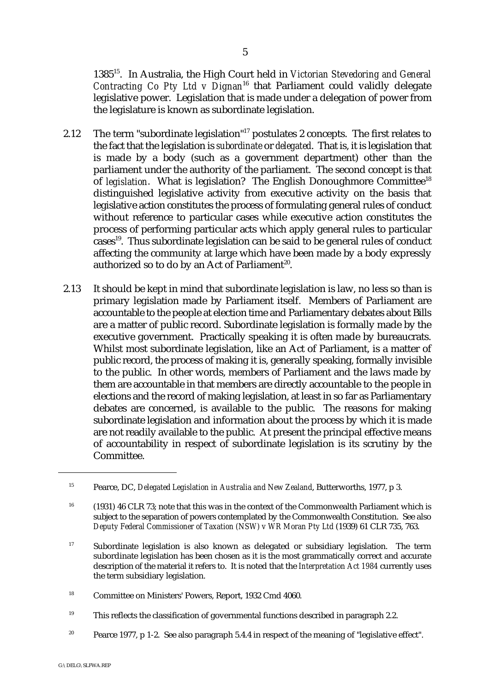1385 . In Australia, the High Court held in *Victorian Stevedoring and General* <sup>15</sup> *Contracting Co Pty Ltd v Dignan*<sup>16</sup> that Parliament could validly delegate legislative power. Legislation that is made under a delegation of power from the legislature is known as subordinate legislation.

- 2.12 The term "subordinate legislation"<sup>17</sup> postulates 2 concepts. The first relates to the fact that the legislation is *subordinate* or *delegated*. That is, it is legislation that is made by a body (such as a government department) other than the parliament under the authority of the parliament. The second concept is that of *legislation*. What is legislation? The English Donoughmore Committee<sup>18</sup> distinguished legislative activity from executive activity on the basis that legislative action constitutes the process of formulating general rules of conduct without reference to particular cases while executive action constitutes the process of performing particular acts which apply general rules to particular  $cases<sup>19</sup>$ . Thus subordinate legislation can be said to be general rules of conduct affecting the community at large which have been made by a body expressly authorized so to do by an Act of Parliament<sup>20</sup>.
- 2.13 It should be kept in mind that subordinate legislation is law, no less so than is primary legislation made by Parliament itself. Members of Parliament are accountable to the people at election time and Parliamentary debates about Bills are a matter of public record. Subordinate legislation is formally made by the executive government. Practically speaking it is often made by bureaucrats. Whilst most subordinate legislation, like an Act of Parliament, is a matter of public record, the process of making it is, generally speaking, formally invisible to the public. In other words, members of Parliament and the laws made by them are accountable in that members are directly accountable to the people in elections and the record of making legislation, at least in so far as Parliamentary debates are concerned, is available to the public. The reasons for making subordinate legislation and information about the process by which it is made are not readily available to the public. At present the principal effective means of accountability in respect of subordinate legislation is its scrutiny by the Committee.

- $T<sup>19</sup>$  This reflects the classification of governmental functions described in paragraph 2.2.
- <sup>20</sup> Pearce 1977, p 1-2. See also paragraph 5.4.4 in respect of the meaning of "legislative effect".

<sup>&</sup>lt;sup>15</sup> Pearce, DC, *Delegated Legislation in Australia and New Zealand*, Butterworths, 1977, p 3.

<sup>&</sup>lt;sup>16</sup> (1931) 46 CLR 73; note that this was in the context of the Commonwealth Parliament which is subject to the separation of powers contemplated by the Commonwealth Constitution. See also *Deputy Federal Commissioner of Taxation (NSW) v WR Moran Pty Ltd* (1939) 61 CLR 735, 763.

 $17$  Subordinate legislation is also known as delegated or subsidiary legislation. The term subordinate legislation has been chosen as it is the most grammatically correct and accurate description of the material it refers to. It is noted that the *Interpretation Act 1984* currently uses the term subsidiary legislation.

<sup>&</sup>lt;sup>18</sup> Committee on Ministers' Powers, Report, 1932 Cmd 4060.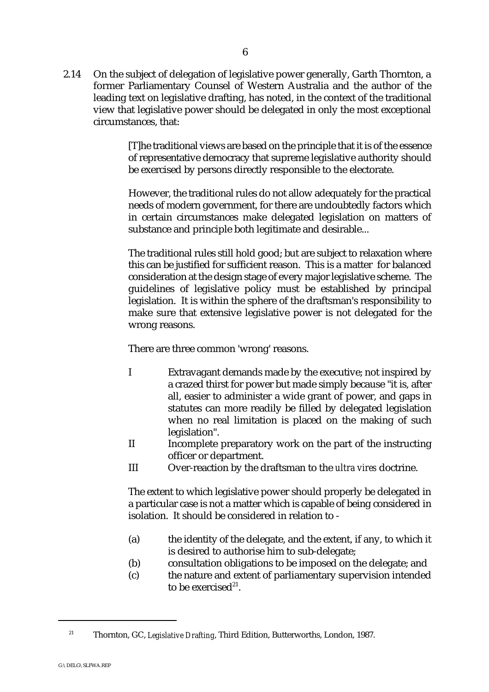2.14 On the subject of delegation of legislative power generally, Garth Thornton, a former Parliamentary Counsel of Western Australia and the author of the leading text on legislative drafting, has noted, in the context of the traditional view that legislative power should be delegated in only the most exceptional circumstances, that:

> [T]he traditional views are based on the principle that it is of the essence of representative democracy that supreme legislative authority should be exercised by persons directly responsible to the electorate.

> However, the traditional rules do not allow adequately for the practical needs of modern government, for there are undoubtedly factors which in certain circumstances make delegated legislation on matters of substance and principle both legitimate and desirable...

> The traditional rules still hold good; but are subject to relaxation where this can be justified for sufficient reason. This is a matter for balanced consideration at the design stage of every major legislative scheme. The guidelines of legislative policy must be established by principal legislation. It is within the sphere of the draftsman's responsibility to make sure that extensive legislative power is not delegated for the wrong reasons.

There are three common 'wrong' reasons.

- I Extravagant demands made by the executive; not inspired by a crazed thirst for power but made simply because "it is, after all, easier to administer a wide grant of power, and gaps in statutes can more readily be filled by delegated legislation when no real limitation is placed on the making of such legislation".
- II Incomplete preparatory work on the part of the instructing officer or department.
- III Over-reaction by the draftsman to the *ultra vires* doctrine.

The extent to which legislative power should properly be delegated in a particular case is not a matter which is capable of being considered in isolation. It should be considered in relation to -

- (a) the identity of the delegate, and the extent, if any, to which it is desired to authorise him to sub-delegate;
- (b) consultation obligations to be imposed on the delegate; and
- (c) the nature and extent of parliamentary supervision intended to be exercised $^{21}$ .

<sup>&</sup>lt;sup>21</sup> Thornton, GC, *Legislative Drafting*, Third Edition, Butterworths, London, 1987.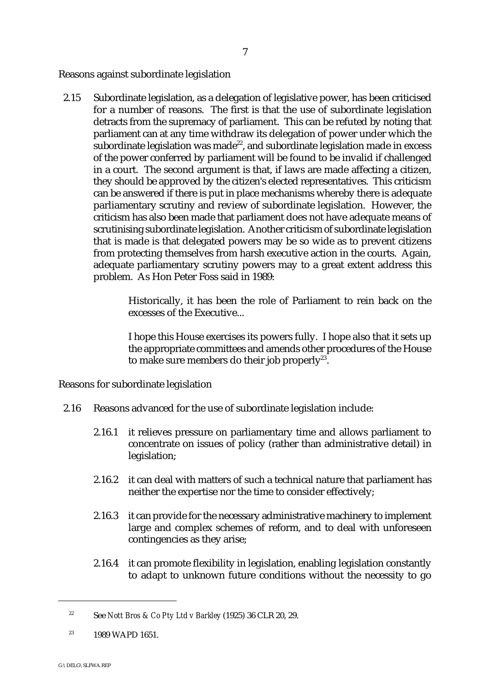Reasons against subordinate legislation

2.15 Subordinate legislation, as a delegation of legislative power, has been criticised for a number of reasons. The first is that the use of subordinate legislation detracts from the supremacy of parliament. This can be refuted by noting that parliament can at any time withdraw its delegation of power under which the subordinate legislation was made<sup>22</sup>, and subordinate legislation made in excess of the power conferred by parliament will be found to be invalid if challenged in a court. The second argument is that, if laws are made affecting a citizen, they should be approved by the citizen's elected representatives. This criticism can be answered if there is put in place mechanisms whereby there is adequate parliamentary scrutiny and review of subordinate legislation. However, the criticism has also been made that parliament does not have adequate means of scrutinising subordinate legislation. Another criticism of subordinate legislation that is made is that delegated powers may be so wide as to prevent citizens from protecting themselves from harsh executive action in the courts. Again, adequate parliamentary scrutiny powers may to a great extent address this problem. As Hon Peter Foss said in 1989:

> Historically, it has been the role of Parliament to rein back on the excesses of the Executive...

> I hope this House exercises its powers fully. I hope also that it sets up the appropriate committees and amends other procedures of the House to make sure members do their job properly<sup>23</sup>.

Reasons for subordinate legislation

- 2.16 Reasons advanced for the use of subordinate legislation include:
	- 2.16.1 it relieves pressure on parliamentary time and allows parliament to concentrate on issues of policy (rather than administrative detail) in legislation;
	- 2.16.2 it can deal with matters of such a technical nature that parliament has neither the expertise nor the time to consider effectively;
	- 2.16.3 it can provide for the necessary administrative machinery to implement large and complex schemes of reform, and to deal with unforeseen contingencies as they arise;
	- 2.16.4 it can promote flexibility in legislation, enabling legislation constantly to adapt to unknown future conditions without the necessity to go

See *Nott Bros & Co Pty Ltd v Barkley* (1925) 36 CLR 20, 29. <sup>22</sup>

 $1989 \text{ WAPD} 1651.$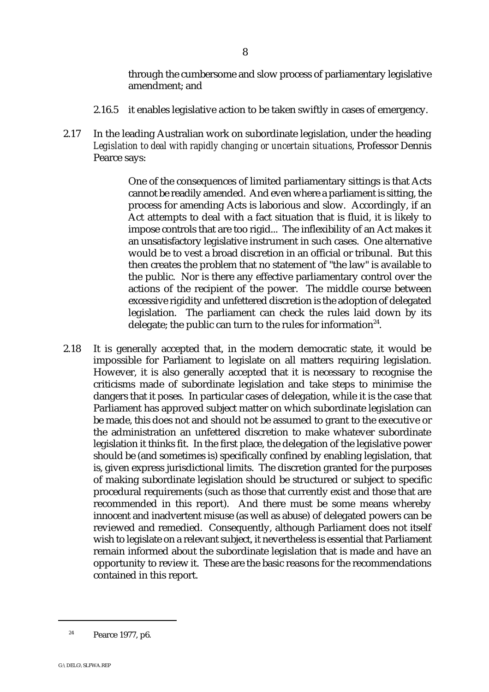through the cumbersome and slow process of parliamentary legislative amendment; and

- 2.16.5 it enables legislative action to be taken swiftly in cases of emergency.
- 2.17 In the leading Australian work on subordinate legislation, under the heading *Legislation to deal with rapidly changing or uncertain situations*, Professor Dennis Pearce says:

One of the consequences of limited parliamentary sittings is that Acts cannot be readily amended. And even where a parliament is sitting, the process for amending Acts is laborious and slow. Accordingly, if an Act attempts to deal with a fact situation that is fluid, it is likely to impose controls that are too rigid... The inflexibility of an Act makes it an unsatisfactory legislative instrument in such cases. One alternative would be to vest a broad discretion in an official or tribunal. But this then creates the problem that no statement of "the law" is available to the public. Nor is there any effective parliamentary control over the actions of the recipient of the power. The middle course between excessive rigidity and unfettered discretion is the adoption of delegated legislation. The parliament can check the rules laid down by its delegate; the public can turn to the rules for information<sup>24</sup>.

2.18 It is generally accepted that, in the modern democratic state, it would be impossible for Parliament to legislate on all matters requiring legislation. However, it is also generally accepted that it is necessary to recognise the criticisms made of subordinate legislation and take steps to minimise the dangers that it poses. In particular cases of delegation, while it is the case that Parliament has approved subject matter on which subordinate legislation can be made, this does not and should not be assumed to grant to the executive or the administration an unfettered discretion to make whatever subordinate legislation it thinks fit. In the first place, the delegation of the legislative power should be (and sometimes is) specifically confined by enabling legislation, that is, given express jurisdictional limits. The discretion granted for the purposes of making subordinate legislation should be structured or subject to specific procedural requirements (such as those that currently exist and those that are recommended in this report). And there must be some means whereby innocent and inadvertent misuse (as well as abuse) of delegated powers can be reviewed and remedied. Consequently, although Parliament does not itself wish to legislate on a relevant subject, it nevertheless is essential that Parliament remain informed about the subordinate legislation that is made and have an opportunity to review it. These are the basic reasons for the recommendations contained in this report.

 $^{24}$  Pearce 1977, p6.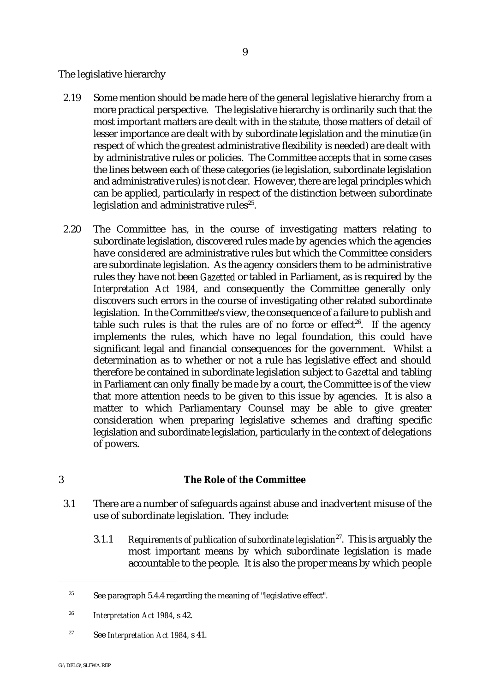The legislative hierarchy

- 2.19 Some mention should be made here of the general legislative hierarchy from a more practical perspective. The legislative hierarchy is ordinarily such that the most important matters are dealt with in the statute, those matters of detail of lesser importance are dealt with by subordinate legislation and the minutiæ (in respect of which the greatest administrative flexibility is needed) are dealt with by administrative rules or policies. The Committee accepts that in some cases the lines between each of these categories (ie legislation, subordinate legislation and administrative rules) is not clear. However, there are legal principles which can be applied, particularly in respect of the distinction between subordinate legislation and administrative rules $25$ .
- 2.20 The Committee has, in the course of investigating matters relating to subordinate legislation, discovered rules made by agencies which the agencies have considered are administrative rules but which the Committee considers are subordinate legislation. As the agency considers them to be administrative rules they have not been *Gazetted* or tabled in Parliament, as is required by the *Interpretation Act 1984*, and consequently the Committee generally only discovers such errors in the course of investigating other related subordinate legislation. In the Committee's view, the consequence of a failure to publish and table such rules is that the rules are of no force or effect<sup>26</sup>. If the agency implements the rules, which have no legal foundation, this could have significant legal and financial consequences for the government. Whilst a determination as to whether or not a rule has legislative effect and should therefore be contained in subordinate legislation subject to *Gazettal* and tabling in Parliament can only finally be made by a court, the Committee is of the view that more attention needs to be given to this issue by agencies. It is also a matter to which Parliamentary Counsel may be able to give greater consideration when preparing legislative schemes and drafting specific legislation and subordinate legislation, particularly in the context of delegations of powers.

## 3 **The Role of the Committee**

- 3.1 There are a number of safeguards against abuse and inadvertent misuse of the use of subordinate legislation. They include:
	- 3.1.1 *Requirements of publication of subordinate legislation*<sup>27</sup>. This is arguably the most important means by which subordinate legislation is made accountable to the people. It is also the proper means by which people

<sup>27</sup> See *Interpretation Act 1984*, s 41.

<sup>&</sup>lt;sup>25</sup> See paragraph 5.4.4 regarding the meaning of "legislative effect".

<sup>&</sup>lt;sup>26</sup> Interpretation Act 1984, s 42.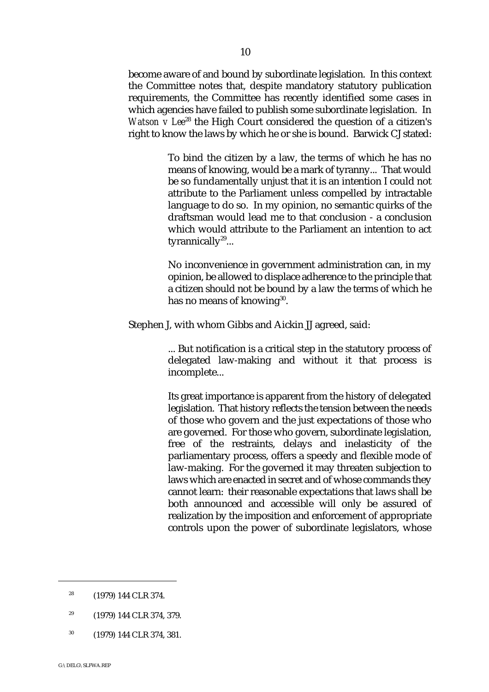become aware of and bound by subordinate legislation. In this context the Committee notes that, despite mandatory statutory publication requirements, the Committee has recently identified some cases in which agencies have failed to publish some subordinate legislation. In *Watson v Lee*<sup>28</sup> the High Court considered the question of a citizen's right to know the laws by which he or she is bound. Barwick CJ stated:

> To bind the citizen by a law, the terms of which he has no means of knowing, would be a mark of tyranny... That would be so fundamentally unjust that it is an intention I could not attribute to the Parliament unless compelled by intractable language to do so. In my opinion, no semantic quirks of the draftsman would lead me to that conclusion - a conclusion which would attribute to the Parliament an intention to act tyrannically $29...$

> No inconvenience in government administration can, in my opinion, be allowed to displace adherence to the principle that a citizen should not be bound by a law the terms of which he has no means of knowing $30$ .

Stephen J, with whom Gibbs and Aickin JJ agreed, said:

... But notification is a critical step in the statutory process of delegated law-making and without it that process is incomplete...

Its great importance is apparent from the history of delegated legislation. That history reflects the tension between the needs of those who govern and the just expectations of those who are governed. For those who govern, subordinate legislation, free of the restraints, delays and inelasticity of the parliamentary process, offers a speedy and flexible mode of law-making. For the governed it may threaten subjection to laws which are enacted in secret and of whose commands they cannot learn: their reasonable expectations that laws shall be both announced and accessible will only be assured of realization by the imposition and enforcement of appropriate controls upon the power of subordinate legislators, whose

 $^{30}$  (1979) 144 CLR 374, 381.

 $28$  (1979) 144 CLR 374.

 $^{29}$  (1979) 144 CLR 374, 379.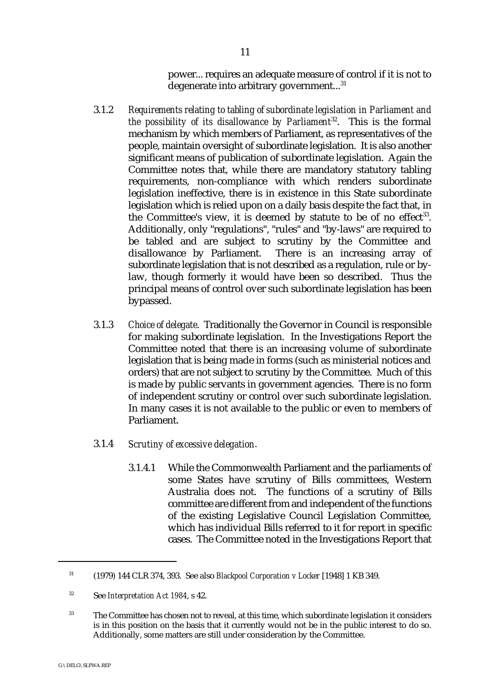power... requires an adequate measure of control if it is not to degenerate into arbitrary government...<sup>31</sup>

- 3.1.2 *Requirements relating to tabling of subordinate legislation in Parliament and the possibility of its disallowance by Parliament*<sup>32</sup>. This is the formal mechanism by which members of Parliament, as representatives of the people, maintain oversight of subordinate legislation. It is also another significant means of publication of subordinate legislation. Again the Committee notes that, while there are mandatory statutory tabling requirements, non-compliance with which renders subordinate legislation ineffective, there is in existence in this State subordinate legislation which is relied upon on a daily basis despite the fact that, in the Committee's view, it is deemed by statute to be of no effect<sup>33</sup>. Additionally, only "regulations", "rules" and "by-laws" are required to be tabled and are subject to scrutiny by the Committee and disallowance by Parliament. There is an increasing array of subordinate legislation that is not described as a regulation, rule or bylaw, though formerly it would have been so described. Thus the principal means of control over such subordinate legislation has been bypassed.
- 3.1.3 *Choice of delegate*. Traditionally the Governor in Council is responsible for making subordinate legislation. In the Investigations Report the Committee noted that there is an increasing volume of subordinate legislation that is being made in forms (such as ministerial notices and orders) that are not subject to scrutiny by the Committee. Much of this is made by public servants in government agencies. There is no form of independent scrutiny or control over such subordinate legislation. In many cases it is not available to the public or even to members of Parliament.
- 3.1.4 *Scrutiny of excessive delegation*.
	- 3.1.4.1 While the Commonwealth Parliament and the parliaments of some States have scrutiny of Bills committees, Western Australia does not. The functions of a scrutiny of Bills committee are different from and independent of the functions of the existing Legislative Council Legislation Committee, which has individual Bills referred to it for report in specific cases. The Committee noted in the Investigations Report that

<sup>&</sup>lt;sup>31</sup> (1979) 144 CLR 374, 393. See also *Blackpool Corporation v Locker* [1948] 1 KB 349.

<sup>&</sup>lt;sup>32</sup> See *Interpretation Act 1984*, s 42.

<sup>&</sup>lt;sup>33</sup> The Committee has chosen not to reveal, at this time, which subordinate legislation it considers is in this position on the basis that it currently would not be in the public interest to do so. Additionally, some matters are still under consideration by the Committee.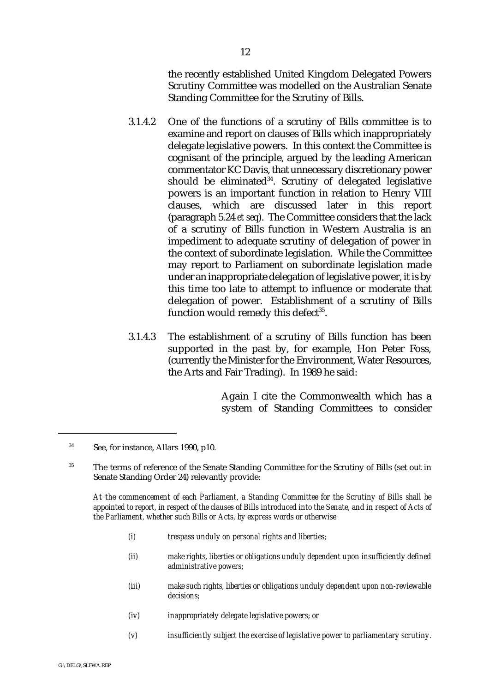the recently established United Kingdom Delegated Powers Scrutiny Committee was modelled on the Australian Senate Standing Committee for the Scrutiny of Bills.

- 3.1.4.2 One of the functions of a scrutiny of Bills committee is to examine and report on clauses of Bills which inappropriately delegate legislative powers. In this context the Committee is cognisant of the principle, argued by the leading American commentator KC Davis, that unnecessary discretionary power should be eliminated $34$ . Scrutiny of delegated legislative powers is an important function in relation to Henry VIII clauses, which are discussed later in this report (paragraph 5.24 *et seq*). The Committee considers that the lack of a scrutiny of Bills function in Western Australia is an impediment to adequate scrutiny of delegation of power in the context of subordinate legislation. While the Committee may report to Parliament on subordinate legislation made under an inappropriate delegation of legislative power, it is by this time too late to attempt to influence or moderate that delegation of power. Establishment of a scrutiny of Bills function would remedy this defect $35$ .
- 3.1.4.3 The establishment of a scrutiny of Bills function has been supported in the past by, for example, Hon Peter Foss, (currently the Minister for the Environment, Water Resources, the Arts and Fair Trading). In 1989 he said:

Again I cite the Commonwealth which has a system of Standing Committees to consider

*At the commencement of each Parliament, a Standing Committee for the Scrutiny of Bills shall be appointed to report, in respect of the clauses of Bills introduced into the Senate, and in respect of Acts of the Parliament, whether such Bills or Acts, by express words or otherwise*

- *(i) trespass unduly on personal rights and liberties;*
- *(ii) make rights, liberties or obligations unduly dependent upon insufficiently defined administrative powers;*
- *(iii) make such rights, liberties or obligations unduly dependent upon non-reviewable decisions;*
- *(iv) inappropriately delegate legislative powers; or*
- *(v) insufficiently subject the exercise of legislative power to parliamentary scrutiny.*

<sup>&</sup>lt;sup>34</sup> See, for instance, Allars 1990, p10.

<sup>&</sup>lt;sup>35</sup> The terms of reference of the Senate Standing Committee for the Scrutiny of Bills (set out in Senate Standing Order 24) relevantly provide: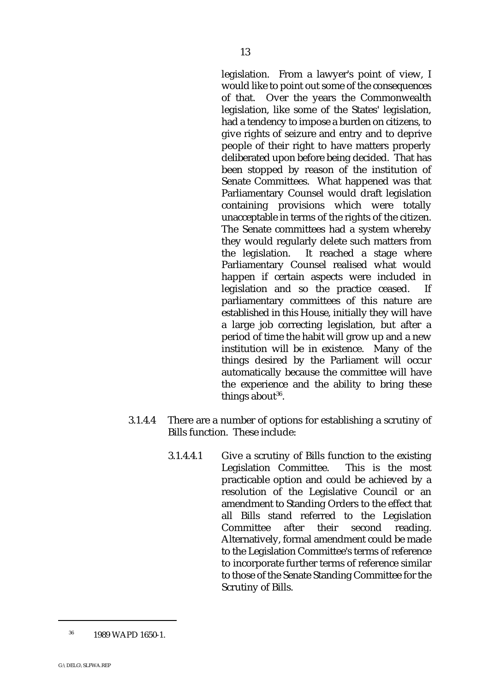legislation. From a lawyer's point of view, I would like to point out some of the consequences of that. Over the years the Commonwealth legislation, like some of the States' legislation, had a tendency to impose a burden on citizens, to give rights of seizure and entry and to deprive people of their right to have matters properly deliberated upon before being decided. That has been stopped by reason of the institution of Senate Committees. What happened was that Parliamentary Counsel would draft legislation containing provisions which were totally unacceptable in terms of the rights of the citizen. The Senate committees had a system whereby they would regularly delete such matters from the legislation. It reached a stage where Parliamentary Counsel realised what would happen if certain aspects were included in legislation and so the practice ceased. parliamentary committees of this nature are established in this House, initially they will have a large job correcting legislation, but after a period of time the habit will grow up and a new institution will be in existence. Many of the things desired by the Parliament will occur automatically because the committee will have the experience and the ability to bring these things about  $36$ .

- 3.1.4.4 There are a number of options for establishing a scrutiny of Bills function. These include:
	- 3.1.4.4.1 Give a scrutiny of Bills function to the existing Legislation Committee. This is the most practicable option and could be achieved by a resolution of the Legislative Council or an amendment to Standing Orders to the effect that all Bills stand referred to the Legislation Committee after their second reading. Alternatively, formal amendment could be made to the Legislation Committee's terms of reference to incorporate further terms of reference similar to those of the Senate Standing Committee for the Scrutiny of Bills.

<sup>13</sup>

 $^{36}$  1989 WAPD 1650-1.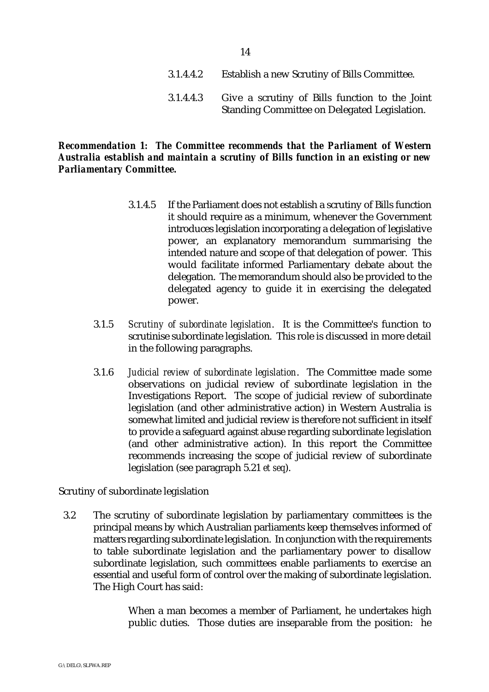- 3.1.4.4.2 Establish a new Scrutiny of Bills Committee.
- 3.1.4.4.3 Give a scrutiny of Bills function to the Joint Standing Committee on Delegated Legislation.

## *Recommendation 1: The Committee recommends that the Parliament of Western Australia establish and maintain a scrutiny of Bills function in an existing or new Parliamentary Committee.*

- 3.1.4.5 If the Parliament does not establish a scrutiny of Bills function it should require as a minimum, whenever the Government introduces legislation incorporating a delegation of legislative power, an explanatory memorandum summarising the intended nature and scope of that delegation of power. This would facilitate informed Parliamentary debate about the delegation. The memorandum should also be provided to the delegated agency to guide it in exercising the delegated power.
- 3.1.5 *Scrutiny of subordinate legislation*. It is the Committee's function to scrutinise subordinate legislation. This role is discussed in more detail in the following paragraphs.
- 3.1.6 *Judicial review of subordinate legislation*. The Committee made some observations on judicial review of subordinate legislation in the Investigations Report. The scope of judicial review of subordinate legislation (and other administrative action) in Western Australia is somewhat limited and judicial review is therefore not sufficient in itself to provide a safeguard against abuse regarding subordinate legislation (and other administrative action). In this report the Committee recommends increasing the scope of judicial review of subordinate legislation (see paragraph 5.21 *et seq*).

Scrutiny of subordinate legislation

3.2 The scrutiny of subordinate legislation by parliamentary committees is the principal means by which Australian parliaments keep themselves informed of matters regarding subordinate legislation. In conjunction with the requirements to table subordinate legislation and the parliamentary power to disallow subordinate legislation, such committees enable parliaments to exercise an essential and useful form of control over the making of subordinate legislation. The High Court has said:

> When a man becomes a member of Parliament, he undertakes high public duties. Those duties are inseparable from the position: he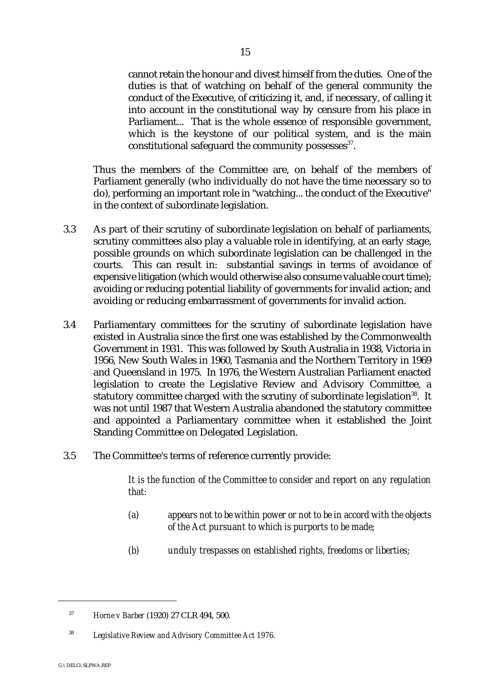cannot retain the honour and divest himself from the duties. One of the duties is that of watching on behalf of the general community the conduct of the Executive, of criticizing it, and, if necessary, of calling it into account in the constitutional way by censure from his place in Parliament... That is the whole essence of responsible government, which is the keystone of our political system, and is the main constitutional safeguard the community possesses<sup>37</sup>.

Thus the members of the Committee are, on behalf of the members of Parliament generally (who individually do not have the time necessary so to do), performing an important role in "watching... the conduct of the Executive" in the context of subordinate legislation.

- 3.3 As part of their scrutiny of subordinate legislation on behalf of parliaments, scrutiny committees also play a valuable role in identifying, at an early stage, possible grounds on which subordinate legislation can be challenged in the courts. This can result in: substantial savings in terms of avoidance of expensive litigation (which would otherwise also consume valuable court time); avoiding or reducing potential liability of governments for invalid action; and avoiding or reducing embarrassment of governments for invalid action.
- 3.4 Parliamentary committees for the scrutiny of subordinate legislation have existed in Australia since the first one was established by the Commonwealth Government in 1931. This was followed by South Australia in 1938, Victoria in 1956, New South Wales in 1960, Tasmania and the Northern Territory in 1969 and Queensland in 1975. In 1976, the Western Australian Parliament enacted legislation to create the Legislative Review and Advisory Committee, a statutory committee charged with the scrutiny of subordinate legislation<sup>38</sup>. It was not until 1987 that Western Australia abandoned the statutory committee and appointed a Parliamentary committee when it established the Joint Standing Committee on Delegated Legislation.
- 3.5 The Committee's terms of reference currently provide:

*It is the function of the Committee to consider and report on any regulation that:*

- *(a) appears not to be within power or not to be in accord with the objects of the Act pursuant to which is purports to be made;*
- *(b) unduly trespasses on established rights, freedoms or liberties;*

<sup>&</sup>lt;sup>37</sup> *Horne v Barber* (1920) 27 CLR 494, 500.

*Legislative Review and Advisory Committee Act 1976*. <sup>38</sup>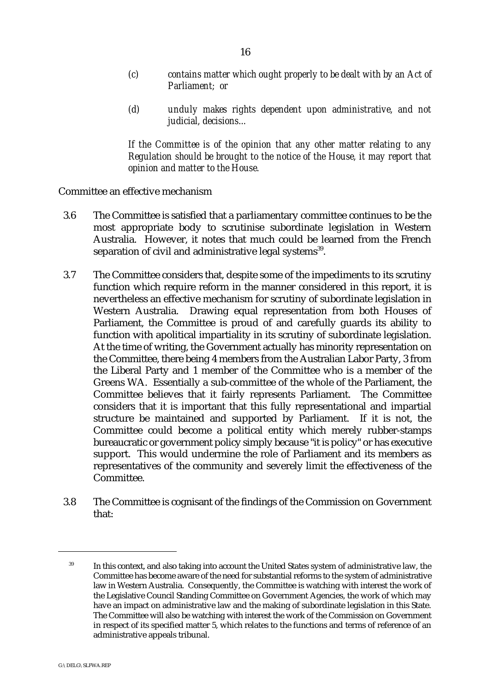- *(c) contains matter which ought properly to be dealt with by an Act of Parliament; or*
- *(d) unduly makes rights dependent upon administrative, and not judicial, decisions...*

*If the Committee is of the opinion that any other matter relating to any Regulation should be brought to the notice of the House, it may report that opinion and matter to the House.*

Committee an effective mechanism

- 3.6 The Committee is satisfied that a parliamentary committee continues to be the most appropriate body to scrutinise subordinate legislation in Western Australia. However, it notes that much could be learned from the French separation of civil and administrative legal systems<sup>39</sup>.
- 3.7 The Committee considers that, despite some of the impediments to its scrutiny function which require reform in the manner considered in this report, it is nevertheless an effective mechanism for scrutiny of subordinate legislation in Western Australia. Drawing equal representation from both Houses of Parliament, the Committee is proud of and carefully guards its ability to function with apolitical impartiality in its scrutiny of subordinate legislation. At the time of writing, the Government actually has minority representation on the Committee, there being 4 members from the Australian Labor Party, 3 from the Liberal Party and 1 member of the Committee who is a member of the Greens WA. Essentially a sub-committee of the whole of the Parliament, the Committee believes that it fairly represents Parliament. The Committee considers that it is important that this fully representational and impartial structure be maintained and supported by Parliament. If it is not, the Committee could become a political entity which merely rubber-stamps bureaucratic or government policy simply because "it is policy" or has executive support. This would undermine the role of Parliament and its members as representatives of the community and severely limit the effectiveness of the Committee.
- 3.8 The Committee is cognisant of the findings of the Commission on Government that:

<sup>&</sup>lt;sup>39</sup> In this context, and also taking into account the United States system of administrative law, the Committee has become aware of the need for substantial reforms to the system of administrative law in Western Australia. Consequently, the Committee is watching with interest the work of the Legislative Council Standing Committee on Government Agencies, the work of which may have an impact on administrative law and the making of subordinate legislation in this State. The Committee will also be watching with interest the work of the Commission on Government in respect of its specified matter 5, which relates to the functions and terms of reference of an administrative appeals tribunal.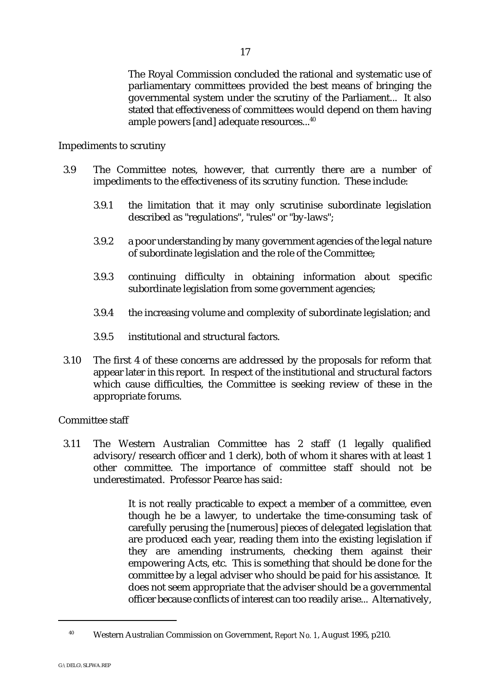The Royal Commission concluded the rational and systematic use of parliamentary committees provided the best means of bringing the governmental system under the scrutiny of the Parliament... It also stated that effectiveness of committees would depend on them having ample powers [and] adequate resources...<sup>40</sup>

Impediments to scrutiny

- 3.9 The Committee notes, however, that currently there are a number of impediments to the effectiveness of its scrutiny function. These include:
	- 3.9.1 the limitation that it may only scrutinise subordinate legislation described as "regulations", "rules" or "by-laws";
	- 3.9.2 a poor understanding by many government agencies of the legal nature of subordinate legislation and the role of the Committee;
	- 3.9.3 continuing difficulty in obtaining information about specific subordinate legislation from some government agencies;
	- 3.9.4 the increasing volume and complexity of subordinate legislation; and
	- 3.9.5 institutional and structural factors.
- 3.10 The first 4 of these concerns are addressed by the proposals for reform that appear later in this report. In respect of the institutional and structural factors which cause difficulties, the Committee is seeking review of these in the appropriate forums.

Committee staff

3.11 The Western Australian Committee has 2 staff (1 legally qualified advisory/research officer and 1 clerk), both of whom it shares with at least 1 other committee. The importance of committee staff should not be underestimated. Professor Pearce has said:

> It is not really practicable to expect a member of a committee, even though he be a lawyer, to undertake the time-consuming task of carefully perusing the [numerous] pieces of delegated legislation that are produced each year, reading them into the existing legislation if they are amending instruments, checking them against their empowering Acts, etc. This is something that should be done for the committee by a legal adviser who should be paid for his assistance. It does not seem appropriate that the adviser should be a governmental officer because conflicts of interest can too readily arise... Alternatively,

Western Australian Commission on Government, *Report No. 1*, August 1995, p210. <sup>40</sup>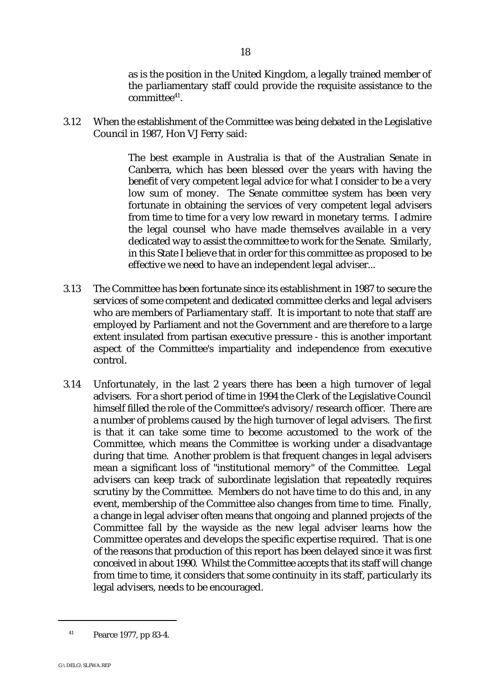as is the position in the United Kingdom, a legally trained member of the parliamentary staff could provide the requisite assistance to the  $committe<sup>41</sup>$ .

3.12 When the establishment of the Committee was being debated in the Legislative Council in 1987, Hon VJ Ferry said:

> The best example in Australia is that of the Australian Senate in Canberra, which has been blessed over the years with having the benefit of very competent legal advice for what I consider to be a very low sum of money. The Senate committee system has been very fortunate in obtaining the services of very competent legal advisers from time to time for a very low reward in monetary terms. I admire the legal counsel who have made themselves available in a very dedicated way to assist the committee to work for the Senate. Similarly, in this State I believe that in order for this committee as proposed to be effective we need to have an independent legal adviser...

- 3.13 The Committee has been fortunate since its establishment in 1987 to secure the services of some competent and dedicated committee clerks and legal advisers who are members of Parliamentary staff. It is important to note that staff are employed by Parliament and not the Government and are therefore to a large extent insulated from partisan executive pressure - this is another important aspect of the Committee's impartiality and independence from executive control.
- 3.14 Unfortunately, in the last 2 years there has been a high turnover of legal advisers. For a short period of time in 1994 the Clerk of the Legislative Council himself filled the role of the Committee's advisory/research officer. There are a number of problems caused by the high turnover of legal advisers. The first is that it can take some time to become accustomed to the work of the Committee, which means the Committee is working under a disadvantage during that time. Another problem is that frequent changes in legal advisers mean a significant loss of "institutional memory" of the Committee. Legal advisers can keep track of subordinate legislation that repeatedly requires scrutiny by the Committee. Members do not have time to do this and, in any event, membership of the Committee also changes from time to time. Finally, a change in legal adviser often means that ongoing and planned projects of the Committee fall by the wayside as the new legal adviser learns how the Committee operates and develops the specific expertise required. That is one of the reasons that production of this report has been delayed since it was first conceived in about 1990. Whilst the Committee accepts that its staff will change from time to time, it considers that some continuity in its staff, particularly its legal advisers, needs to be encouraged.

 $^{41}$  Pearce 1977, pp 83-4.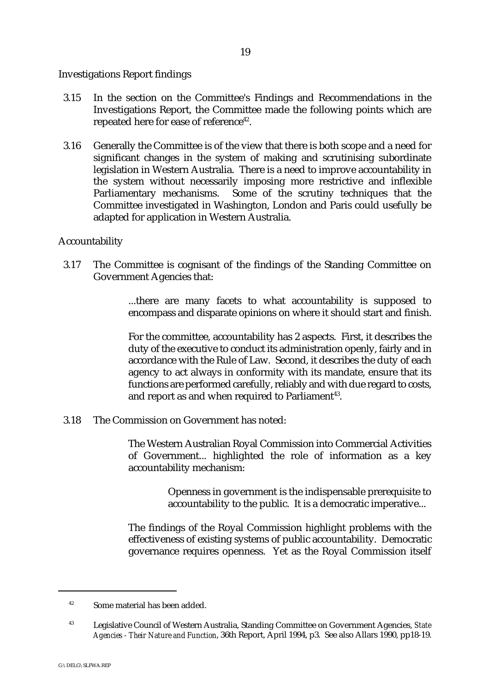#### Investigations Report findings

- 3.15 In the section on the Committee's Findings and Recommendations in the Investigations Report, the Committee made the following points which are repeated here for ease of reference<sup>42</sup>.
- 3.16 Generally the Committee is of the view that there is both scope and a need for significant changes in the system of making and scrutinising subordinate legislation in Western Australia. There is a need to improve accountability in the system without necessarily imposing more restrictive and inflexible Parliamentary mechanisms. Some of the scrutiny techniques that the Committee investigated in Washington, London and Paris could usefully be adapted for application in Western Australia.

## Accountability

3.17 The Committee is cognisant of the findings of the Standing Committee on Government Agencies that:

> ...there are many facets to what accountability is supposed to encompass and disparate opinions on where it should start and finish.

> For the committee, accountability has 2 aspects. First, it describes the duty of the executive to conduct its administration openly, fairly and in accordance with the Rule of Law. Second, it describes the duty of each agency to act always in conformity with its mandate, ensure that its functions are performed carefully, reliably and with due regard to costs, and report as and when required to Parliament<sup>43</sup>.

3.18 The Commission on Government has noted:

The Western Australian Royal Commission into Commercial Activities of Government... highlighted the role of information as a key accountability mechanism:

> Openness in government is the indispensable prerequisite to accountability to the public. It is a democratic imperative...

The findings of the Royal Commission highlight problems with the effectiveness of existing systems of public accountability. Democratic governance requires openness. Yet as the Royal Commission itself

 $42$  Some material has been added.

Legislative Council of Western Australia, Standing Committee on Government Agencies, *State* <sup>43</sup> *Agencies - Their Nature and Function*, 36th Report, April 1994, p3. See also Allars 1990, pp18-19.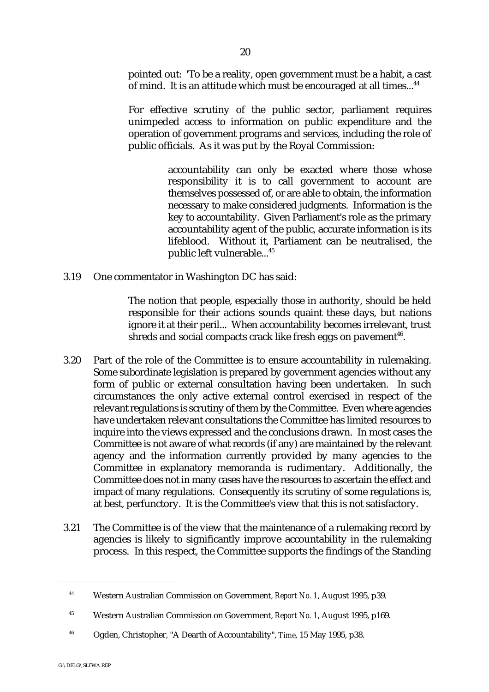pointed out: 'To be a reality, open government must be a habit, a cast of mind. It is an attitude which must be encouraged at all times...<sup>44</sup>

For effective scrutiny of the public sector, parliament requires unimpeded access to information on public expenditure and the operation of government programs and services, including the role of public officials. As it was put by the Royal Commission:

> accountability can only be exacted where those whose responsibility it is to call government to account are themselves possessed of, or are able to obtain, the information necessary to make considered judgments. Information is the key to accountability. Given Parliament's role as the primary accountability agent of the public, accurate information is its lifeblood. Without it, Parliament can be neutralised, the public left vulnerable...45

3.19 One commentator in Washington DC has said:

The notion that people, especially those in authority, should be held responsible for their actions sounds quaint these days, but nations ignore it at their peril... When accountability becomes irrelevant, trust shreds and social compacts crack like fresh eggs on pavement<sup>46</sup>.

- 3.20 Part of the role of the Committee is to ensure accountability in rulemaking. Some subordinate legislation is prepared by government agencies without any form of public or external consultation having been undertaken. In such circumstances the only active external control exercised in respect of the relevant regulations is scrutiny of them by the Committee. Even where agencies have undertaken relevant consultations the Committee has limited resources to inquire into the views expressed and the conclusions drawn. In most cases the Committee is not aware of what records (if any) are maintained by the relevant agency and the information currently provided by many agencies to the Committee in explanatory memoranda is rudimentary. Additionally, the Committee does not in many cases have the resources to ascertain the effect and impact of many regulations. Consequently its scrutiny of some regulations is, at best, perfunctory. It is the Committee's view that this is not satisfactory.
- 3.21 The Committee is of the view that the maintenance of a rulemaking record by agencies is likely to significantly improve accountability in the rulemaking process. In this respect, the Committee supports the findings of the Standing

Western Australian Commission on Government, *Report No. 1*, August 1995, p39. <sup>44</sup>

Western Australian Commission on Government, *Report No. 1*, August 1995, p169. <sup>45</sup>

Ogden, Christopher, "A Dearth of Accountability", *Time*, 15 May 1995, p38. <sup>46</sup>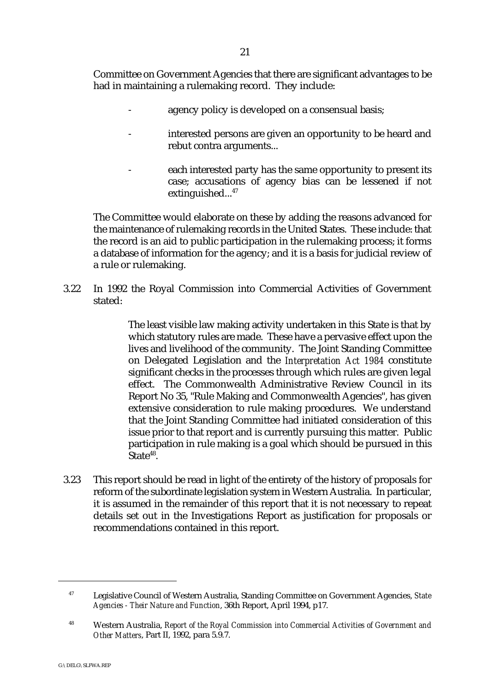Committee on Government Agencies that there are significant advantages to be had in maintaining a rulemaking record. They include:

- agency policy is developed on a consensual basis;
- interested persons are given an opportunity to be heard and rebut contra arguments...
- each interested party has the same opportunity to present its case; accusations of agency bias can be lessened if not extinguished... $47$

The Committee would elaborate on these by adding the reasons advanced for the maintenance of rulemaking records in the United States. These include: that the record is an aid to public participation in the rulemaking process; it forms a database of information for the agency; and it is a basis for judicial review of a rule or rulemaking.

3.22 In 1992 the Royal Commission into Commercial Activities of Government stated:

> The least visible law making activity undertaken in this State is that by which statutory rules are made. These have a pervasive effect upon the lives and livelihood of the community. The Joint Standing Committee on Delegated Legislation and the *Interpretation Act 1984* constitute significant checks in the processes through which rules are given legal effect. The Commonwealth Administrative Review Council in its Report No 35, "Rule Making and Commonwealth Agencies", has given extensive consideration to rule making procedures. We understand that the Joint Standing Committee had initiated consideration of this issue prior to that report and is currently pursuing this matter. Public participation in rule making is a goal which should be pursued in this State $48$ .

3.23 This report should be read in light of the entirety of the history of proposals for reform of the subordinate legislation system in Western Australia. In particular, it is assumed in the remainder of this report that it is not necessary to repeat details set out in the Investigations Report as justification for proposals or recommendations contained in this report.

Legislative Council of Western Australia, Standing Committee on Government Agencies, *State* <sup>47</sup> *Agencies - Their Nature and Function*, 36th Report, April 1994, p17.

Western Australia, *Report of the Royal Commission into Commercial Activities of Government and* <sup>48</sup> *Other Matters*, Part II, 1992, para 5.9.7.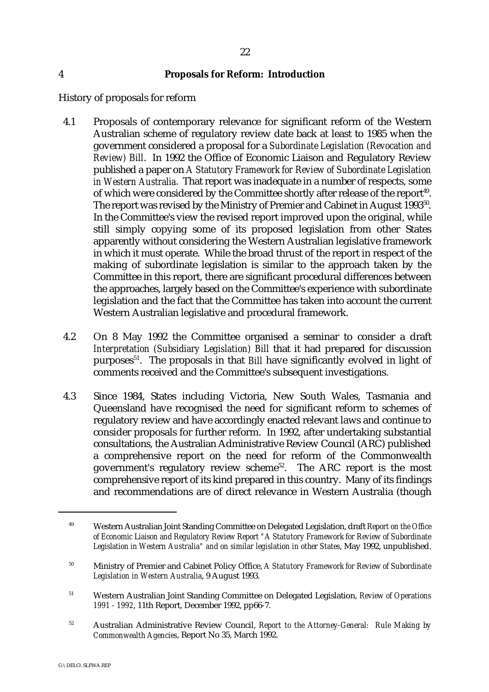#### 4 **Proposals for Reform: Introduction**

History of proposals for reform

- 4.1 Proposals of contemporary relevance for significant reform of the Western Australian scheme of regulatory review date back at least to 1985 when the government considered a proposal for a *Subordinate Legislation (Revocation and Review) Bill*. In 1992 the Office of Economic Liaison and Regulatory Review published a paper on *A Statutory Framework for Review of Subordinate Legislation in Western Australia*. That report was inadequate in a number of respects, some of which were considered by the Committee shortly after release of the report<sup>49</sup>. The report was revised by the Ministry of Premier and Cabinet in August 1993<sup>50</sup>. In the Committee's view the revised report improved upon the original, while still simply copying some of its proposed legislation from other States apparently without considering the Western Australian legislative framework in which it must operate. While the broad thrust of the report in respect of the making of subordinate legislation is similar to the approach taken by the Committee in this report, there are significant procedural differences between the approaches, largely based on the Committee's experience with subordinate legislation and the fact that the Committee has taken into account the current Western Australian legislative and procedural framework.
- 4.2 On 8 May 1992 the Committee organised a seminar to consider a draft *Interpretation (Subsidiary Legislation) Bill* that it had prepared for discussion purposes<sup>51</sup>. The proposals in that *Bill* have significantly evolved in light of comments received and the Committee's subsequent investigations.
- 4.3 Since 1984, States including Victoria, New South Wales, Tasmania and Queensland have recognised the need for significant reform to schemes of regulatory review and have accordingly enacted relevant laws and continue to consider proposals for further reform. In 1992, after undertaking substantial consultations, the Australian Administrative Review Council (ARC) published a comprehensive report on the need for reform of the Commonwealth government's regulatory review scheme<sup>52</sup>. The ARC report is the most comprehensive report of its kind prepared in this country. Many of its findings and recommendations are of direct relevance in Western Australia (though

Western Australian Joint Standing Committee on Delegated Legislation, draft *Report on the Office* <sup>49</sup> *of Economic Liaison and Regulatory Review Report "A Statutory Framework for Review of Subordinate Legislation in Western Australia" and on similar legislation in other States*, May 1992, unpublished.

<sup>&</sup>lt;sup>50</sup> Ministry of Premier and Cabinet Policy Office, *A Statutory Framework for Review of Subordinate Legislation in Western Australia*, 9 August 1993.

Western Australian Joint Standing Committee on Delegated Legislation, *Review of Operations* <sup>51</sup> *1991 - 1992*, 11th Report, December 1992, pp66-7.

<sup>&</sup>lt;sup>52</sup> Australian Administrative Review Council, *Report to the Attorney-General: Rule Making by Commonwealth Agencies*, Report No 35, March 1992.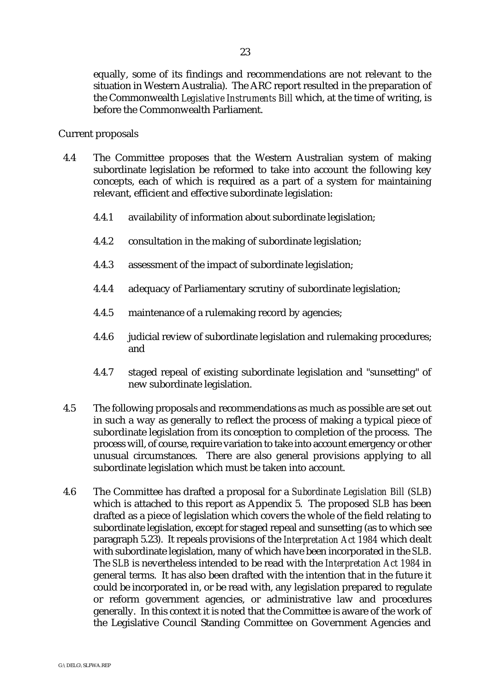equally, some of its findings and recommendations are not relevant to the situation in Western Australia). The ARC report resulted in the preparation of the Commonwealth *Legislative Instruments Bill* which, at the time of writing, is before the Commonwealth Parliament.

#### Current proposals

- 4.4 The Committee proposes that the Western Australian system of making subordinate legislation be reformed to take into account the following key concepts, each of which is required as a part of a system for maintaining relevant, efficient and effective subordinate legislation:
	- 4.4.1 availability of information about subordinate legislation;
	- 4.4.2 consultation in the making of subordinate legislation;
	- 4.4.3 assessment of the impact of subordinate legislation;
	- 4.4.4 adequacy of Parliamentary scrutiny of subordinate legislation;
	- 4.4.5 maintenance of a rulemaking record by agencies;
	- 4.4.6 judicial review of subordinate legislation and rulemaking procedures; and
	- 4.4.7 staged repeal of existing subordinate legislation and "sunsetting" of new subordinate legislation.
- 4.5 The following proposals and recommendations as much as possible are set out in such a way as generally to reflect the process of making a typical piece of subordinate legislation from its conception to completion of the process. The process will, of course, require variation to take into account emergency or other unusual circumstances. There are also general provisions applying to all subordinate legislation which must be taken into account.
- 4.6 The Committee has drafted a proposal for a *Subordinate Legislation Bill* (*SLB*) which is attached to this report as Appendix 5. The proposed *SLB* has been drafted as a piece of legislation which covers the whole of the field relating to subordinate legislation, except for staged repeal and sunsetting (as to which see paragraph 5.23). It repeals provisions of the *Interpretation Act 1984* which dealt with subordinate legislation, many of which have been incorporated in the *SLB*. The *SLB* is nevertheless intended to be read with the *Interpretation Act 1984* in general terms. It has also been drafted with the intention that in the future it could be incorporated in, or be read with, any legislation prepared to regulate or reform government agencies, or administrative law and procedures generally. In this context it is noted that the Committee is aware of the work of the Legislative Council Standing Committee on Government Agencies and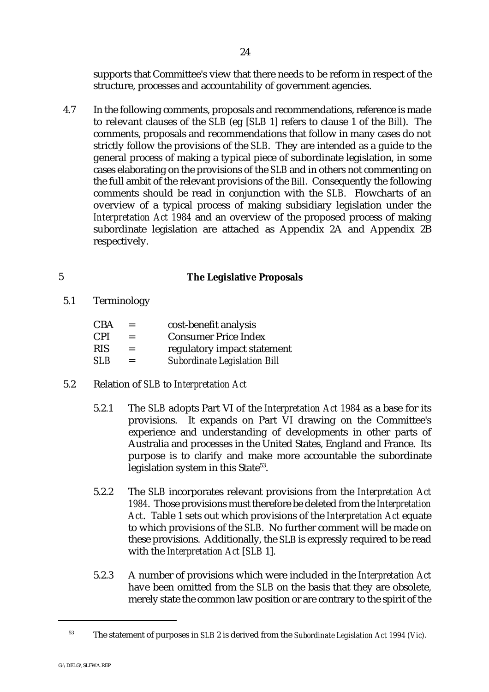supports that Committee's view that there needs to be reform in respect of the structure, processes and accountability of government agencies.

4.7 In the following comments, proposals and recommendations, reference is made to relevant clauses of the *SLB* (eg [*SLB* 1] refers to clause 1 of the *Bill*). The comments, proposals and recommendations that follow in many cases do not strictly follow the provisions of the *SLB*. They are intended as a guide to the general process of making a typical piece of subordinate legislation, in some cases elaborating on the provisions of the *SLB* and in others not commenting on the full ambit of the relevant provisions of the *Bill*. Consequently the following comments should be read in conjunction with the *SLB*. Flowcharts of an overview of a typical process of making subsidiary legislation under the *Interpretation Act 1984* and an overview of the proposed process of making subordinate legislation are attached as Appendix 2A and Appendix 2B respectively.

## 5 **The Legislative Proposals**

5.1 Terminology

| $=$ | cost-benefit analysis               |
|-----|-------------------------------------|
| $=$ | <b>Consumer Price Index</b>         |
| $=$ | regulatory impact statement         |
| $=$ | <b>Subordinate Legislation Bill</b> |
|     |                                     |

# 5.2 Relation of *SLB* to *Interpretation Act*

- 5.2.1 The *SLB* adopts Part VI of the *Interpretation Act 1984* as a base for its provisions. It expands on Part VI drawing on the Committee's experience and understanding of developments in other parts of Australia and processes in the United States, England and France. Its purpose is to clarify and make more accountable the subordinate legislation system in this State<sup>53</sup>.
- 5.2.2 The *SLB* incorporates relevant provisions from the *Interpretation Act 1984*. Those provisions must therefore be deleted from the *Interpretation Act*. Table 1 sets out which provisions of the *Interpretation Act* equate to which provisions of the *SLB*. No further comment will be made on these provisions. Additionally, the *SLB* is expressly required to be read with the *Interpretation Act* [*SLB* 1].
- 5.2.3 A number of provisions which were included in the *Interpretation Act* have been omitted from the *SLB* on the basis that they are obsolete, merely state the common law position or are contrary to the spirit of the

The statement of purposes in *SLB* 2 is derived from the *Subordinate Legislation Act 1994 (Vic)*. <sup>53</sup>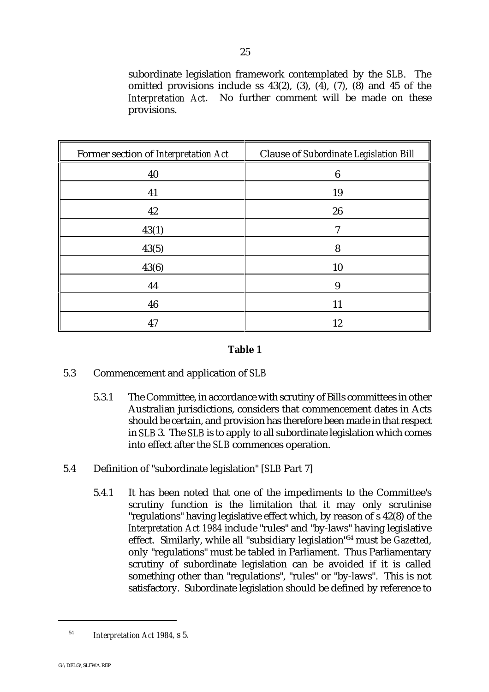subordinate legislation framework contemplated by the *SLB*. The omitted provisions include ss  $43(2)$ ,  $(3)$ ,  $(4)$ ,  $(7)$ ,  $(8)$  and  $45$  of the *Interpretation Act*. No further comment will be made on these provisions.

| Former section of Interpretation Act | <b>Clause of Subordinate Legislation Bill</b> |
|--------------------------------------|-----------------------------------------------|
| 40                                   | $\boldsymbol{6}$                              |
| 41                                   | 19                                            |
| 42                                   | 26                                            |
| 43(1)                                | 7                                             |
| 43(5)                                | 8                                             |
| 43(6)                                | 10                                            |
| 44                                   | 9                                             |
| 46                                   | 11                                            |
| 47                                   | 12                                            |

#### **Table 1**

## 5.3 Commencement and application of *SLB*

- 5.3.1 The Committee, in accordance with scrutiny of Bills committees in other Australian jurisdictions, considers that commencement dates in Acts should be certain, and provision has therefore been made in that respect in *SLB* 3. The *SLB* is to apply to all subordinate legislation which comes into effect after the *SLB* commences operation.
- 5.4 Definition of "subordinate legislation" [*SLB* Part 7]
	- 5.4.1 It has been noted that one of the impediments to the Committee's scrutiny function is the limitation that it may only scrutinise "regulations" having legislative effect which, by reason of s 42(8) of the *Interpretation Act 1984* include "rules" and "by-laws" having legislative effect. Similarly, while all "subsidiary legislation"<sup>54</sup> must be *Gazetted*, only "regulations" must be tabled in Parliament. Thus Parliamentary scrutiny of subordinate legislation can be avoided if it is called something other than "regulations", "rules" or "by-laws". This is not satisfactory. Subordinate legislation should be defined by reference to

<sup>&</sup>lt;sup>54</sup> Interpretation Act 1984, s 5.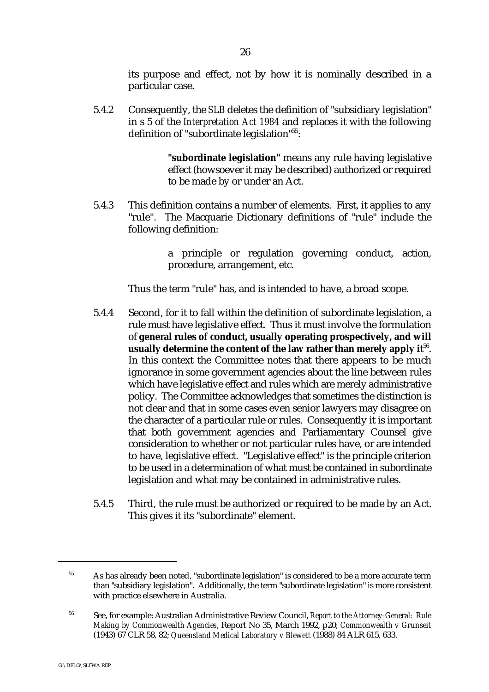its purpose and effect, not by how it is nominally described in a particular case.

5.4.2 Consequently, the *SLB* deletes the definition of "subsidiary legislation" in s 5 of the *Interpretation Act 1984* and replaces it with the following definition of "subordinate legislation"<sup>55</sup>:

> **"subordinate legislation"** means any rule having legislative effect (howsoever it may be described) authorized or required to be made by or under an Act.

5.4.3 This definition contains a number of elements. First, it applies to any "rule". The Macquarie Dictionary definitions of "rule" include the following definition:

> a principle or regulation governing conduct, action, procedure, arrangement, etc.

Thus the term "rule" has, and is intended to have, a broad scope.

- 5.4.4 Second, for it to fall within the definition of subordinate legislation, a rule must have legislative effect. Thus it must involve the formulation of **general rules of conduct, usually operating prospectively, and will usually determine the content of the law rather than merely apply it**<sup>56</sup>. In this context the Committee notes that there appears to be much ignorance in some government agencies about the line between rules which have legislative effect and rules which are merely administrative policy. The Committee acknowledges that sometimes the distinction is not clear and that in some cases even senior lawyers may disagree on the character of a particular rule or rules. Consequently it is important that both government agencies and Parliamentary Counsel give consideration to whether or not particular rules have, or are intended to have, legislative effect. "Legislative effect" is the principle criterion to be used in a determination of what must be contained in subordinate legislation and what may be contained in administrative rules.
- 5.4.5 Third, the rule must be authorized or required to be made by an Act. This gives it its "subordinate" element.

<sup>&</sup>lt;sup>55</sup> As has already been noted, "subordinate legislation" is considered to be a more accurate term than "subsidiary legislation". Additionally, the term "subordinate legislation" is more consistent with practice elsewhere in Australia.

See, for example: Australian Administrative Review Council, *Report to the Attorney-General: Rule* <sup>56</sup> *Making by Commonwealth Agencies*, Report No 35, March 1992, p20; *Commonwealth v Grunseit* (1943) 67 CLR 58, 82; *Queensland Medical Laboratory v Blewett* (1988) 84 ALR 615, 633.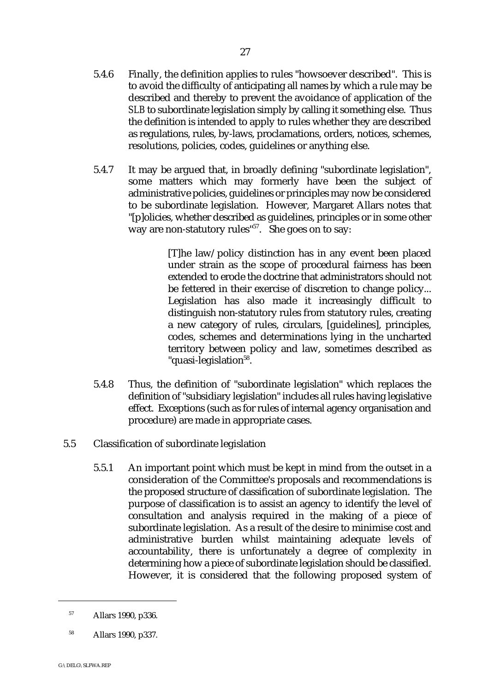- 5.4.6 Finally, the definition applies to rules "howsoever described". This is to avoid the difficulty of anticipating all names by which a rule may be described and thereby to prevent the avoidance of application of the *SLB* to subordinate legislation simply by calling it something else. Thus the definition is intended to apply to rules whether they are described as regulations, rules, by-laws, proclamations, orders, notices, schemes, resolutions, policies, codes, guidelines or anything else.
- 5.4.7 It may be argued that, in broadly defining "subordinate legislation", some matters which may formerly have been the subject of administrative policies, guidelines or principles may now be considered to be subordinate legislation. However, Margaret Allars notes that "[p]olicies, whether described as guidelines, principles or in some other way are non-statutory rules" $57$ . She goes on to say:

[T]he law/policy distinction has in any event been placed under strain as the scope of procedural fairness has been extended to erode the doctrine that administrators should not be fettered in their exercise of discretion to change policy... Legislation has also made it increasingly difficult to distinguish non-statutory rules from statutory rules, creating a new category of rules, circulars, [guidelines], principles, codes, schemes and determinations lying in the uncharted territory between policy and law, sometimes described as "quasi-legislation<sup>58</sup>.

- 5.4.8 Thus, the definition of "subordinate legislation" which replaces the definition of "subsidiary legislation" includes all rules having legislative effect. Exceptions (such as for rules of internal agency organisation and procedure) are made in appropriate cases.
- 5.5 Classification of subordinate legislation
	- 5.5.1 An important point which must be kept in mind from the outset in a consideration of the Committee's proposals and recommendations is the proposed structure of classification of subordinate legislation. The purpose of classification is to assist an agency to identify the level of consultation and analysis required in the making of a piece of subordinate legislation. As a result of the desire to minimise cost and administrative burden whilst maintaining adequate levels of accountability, there is unfortunately a degree of complexity in determining how a piece of subordinate legislation should be classified. However, it is considered that the following proposed system of

<sup>&</sup>lt;sup>57</sup> Allars 1990, p336.

<sup>&</sup>lt;sup>58</sup> Allars 1990, p337.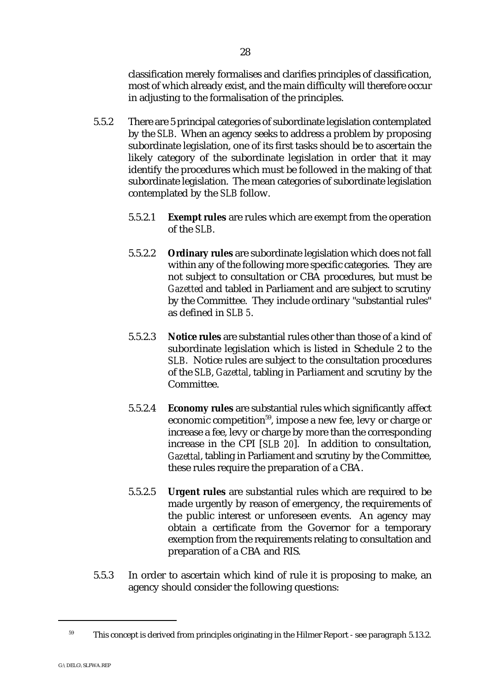classification merely formalises and clarifies principles of classification, most of which already exist, and the main difficulty will therefore occur in adjusting to the formalisation of the principles.

- 5.5.2 There are 5 principal categories of subordinate legislation contemplated by the *SLB*. When an agency seeks to address a problem by proposing subordinate legislation, one of its first tasks should be to ascertain the likely category of the subordinate legislation in order that it may identify the procedures which must be followed in the making of that subordinate legislation. The mean categories of subordinate legislation contemplated by the *SLB* follow.
	- 5.5.2.1 **Exempt rules** are rules which are exempt from the operation of the *SLB*.
	- 5.5.2.2 **Ordinary rules** are subordinate legislation which does not fall within any of the following more specific categories. They are not subject to consultation or CBA procedures, but must be *Gazetted* and tabled in Parliament and are subject to scrutiny by the Committee. They include ordinary "substantial rules" as defined in *SLB 5*.
	- 5.5.2.3 **Notice rules** are substantial rules other than those of a kind of subordinate legislation which is listed in Schedule 2 to the *SLB*. Notice rules are subject to the consultation procedures of the *SLB*, *Gazettal*, tabling in Parliament and scrutiny by the Committee.
	- 5.5.2.4 **Economy rules** are substantial rules which significantly affect economic competition<sup>59</sup>, impose a new fee, levy or charge or increase a fee, levy or charge by more than the corresponding increase in the CPI [*SLB 20*]. In addition to consultation, *Gazettal*, tabling in Parliament and scrutiny by the Committee, these rules require the preparation of a CBA.
	- 5.5.2.5 **Urgent rules** are substantial rules which are required to be made urgently by reason of emergency, the requirements of the public interest or unforeseen events. An agency may obtain a certificate from the Governor for a temporary exemption from the requirements relating to consultation and preparation of a CBA and RIS.
- 5.5.3 In order to ascertain which kind of rule it is proposing to make, an agency should consider the following questions:

 $59$  This concept is derived from principles originating in the Hilmer Report - see paragraph 5.13.2.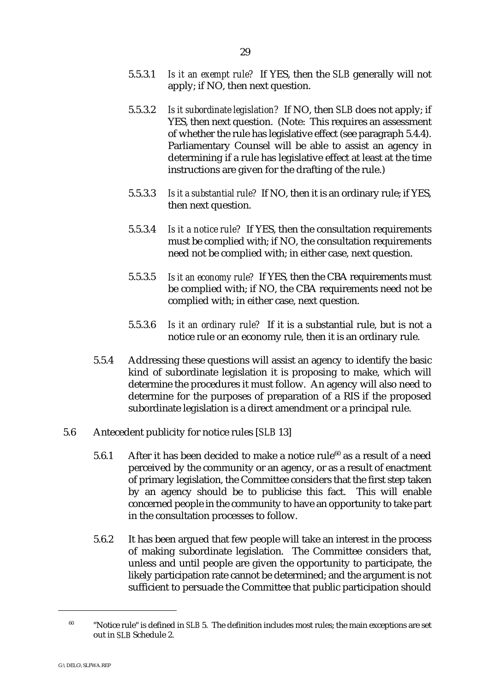- 5.5.3.1 *Is it an exempt rule?* If YES, then the *SLB* generally will not apply; if NO, then next question.
- 5.5.3.2 *Is it subordinate legislation?* If NO, then *SLB* does not apply; if YES, then next question. (Note: This requires an assessment of whether the rule has legislative effect (see paragraph 5.4.4). Parliamentary Counsel will be able to assist an agency in determining if a rule has legislative effect at least at the time instructions are given for the drafting of the rule.)
- 5.5.3.3 *Is it a substantial rule?* If NO, then it is an ordinary rule; if YES, then next question.
- 5.5.3.4 *Is it a notice rule?* If YES, then the consultation requirements must be complied with; if NO, the consultation requirements need not be complied with; in either case, next question.
- 5.5.3.5 *Is it an economy rule?* If YES, then the CBA requirements must be complied with; if NO, the CBA requirements need not be complied with; in either case, next question.
- 5.5.3.6 *Is it an ordinary rule?* If it is a substantial rule, but is not a notice rule or an economy rule, then it is an ordinary rule.
- 5.5.4 Addressing these questions will assist an agency to identify the basic kind of subordinate legislation it is proposing to make, which will determine the procedures it must follow. An agency will also need to determine for the purposes of preparation of a RIS if the proposed subordinate legislation is a direct amendment or a principal rule.
- 5.6 Antecedent publicity for notice rules [*SLB* 13]
	- 5.6.1 After it has been decided to make a notice rule<sup>60</sup> as a result of a need perceived by the community or an agency, or as a result of enactment of primary legislation, the Committee considers that the first step taken by an agency should be to publicise this fact. This will enable concerned people in the community to have an opportunity to take part in the consultation processes to follow.
	- 5.6.2 It has been argued that few people will take an interest in the process of making subordinate legislation. The Committee considers that, unless and until people are given the opportunity to participate, the likely participation rate cannot be determined; and the argument is not sufficient to persuade the Committee that public participation should

<sup>&</sup>lt;sup>60</sup> "Notice rule" is defined in *SLB* 5. The definition includes most rules: the main exceptions are set out in *SLB* Schedule 2.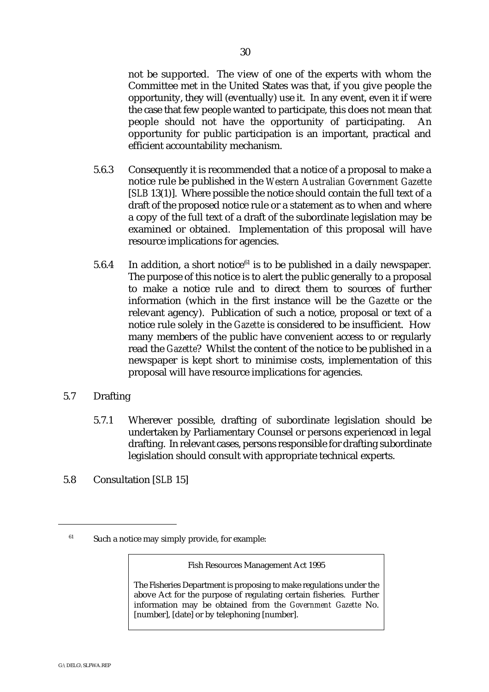not be supported. The view of one of the experts with whom the Committee met in the United States was that, if you give people the opportunity, they will (eventually) use it. In any event, even it if were the case that few people wanted to participate, this does not mean that people should not have the opportunity of participating. opportunity for public participation is an important, practical and efficient accountability mechanism.

- 5.6.3 Consequently it is recommended that a notice of a proposal to make a notice rule be published in the *Western Australian Government Gazette* [*SLB* 13(1)]. Where possible the notice should contain the full text of a draft of the proposed notice rule or a statement as to when and where a copy of the full text of a draft of the subordinate legislation may be examined or obtained. Implementation of this proposal will have resource implications for agencies.
- 5.6.4 In addition, a short notice<sup> $61$ </sup> is to be published in a daily newspaper. The purpose of this notice is to alert the public generally to a proposal to make a notice rule and to direct them to sources of further information (which in the first instance will be the *Gazette* or the relevant agency). Publication of such a notice, proposal or text of a notice rule solely in the *Gazette* is considered to be insufficient. How many members of the public have convenient access to or regularly read the *Gazette*? Whilst the content of the notice to be published in a newspaper is kept short to minimise costs, implementation of this proposal will have resource implications for agencies.
- 5.7 Drafting
	- 5.7.1 Wherever possible, drafting of subordinate legislation should be undertaken by Parliamentary Counsel or persons experienced in legal drafting. In relevant cases, persons responsible for drafting subordinate legislation should consult with appropriate technical experts.
- 5.8 Consultation [*SLB* 15]

Fish Resources Management Act 1995

The Fisheries Department is proposing to make regulations under the above Act for the purpose of regulating certain fisheries. Further information may be obtained from the *Government Gazette* No. [number], [date] or by telephoning [number].

 $61$  Such a notice may simply provide, for example: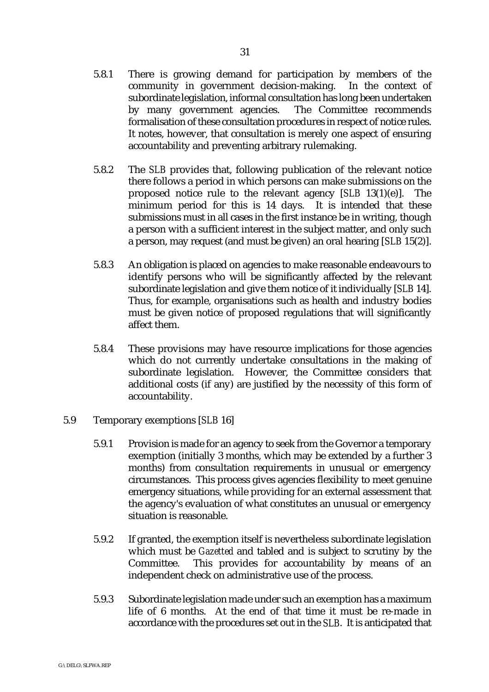- 5.8.1 There is growing demand for participation by members of the community in government decision-making. In the context of subordinate legislation, informal consultation has long been undertaken by many government agencies. The Committee recommends formalisation of these consultation procedures in respect of notice rules. It notes, however, that consultation is merely one aspect of ensuring accountability and preventing arbitrary rulemaking.
- 5.8.2 The *SLB* provides that, following publication of the relevant notice there follows a period in which persons can make submissions on the proposed notice rule to the relevant agency [*SLB* 13(1)(e)]. The minimum period for this is 14 days. It is intended that these submissions must in all cases in the first instance be in writing, though a person with a sufficient interest in the subject matter, and only such a person, may request (and must be given) an oral hearing [*SLB* 15(2)].
- 5.8.3 An obligation is placed on agencies to make reasonable endeavours to identify persons who will be significantly affected by the relevant subordinate legislation and give them notice of it individually [*SLB* 14]. Thus, for example, organisations such as health and industry bodies must be given notice of proposed regulations that will significantly affect them.
- 5.8.4 These provisions may have resource implications for those agencies which do not currently undertake consultations in the making of subordinate legislation. However, the Committee considers that additional costs (if any) are justified by the necessity of this form of accountability.
- 5.9 Temporary exemptions [*SLB* 16]
	- 5.9.1 Provision is made for an agency to seek from the Governor a temporary exemption (initially 3 months, which may be extended by a further 3 months) from consultation requirements in unusual or emergency circumstances. This process gives agencies flexibility to meet genuine emergency situations, while providing for an external assessment that the agency's evaluation of what constitutes an unusual or emergency situation is reasonable.
	- 5.9.2 If granted, the exemption itself is nevertheless subordinate legislation which must be *Gazetted* and tabled and is subject to scrutiny by the Committee. This provides for accountability by means of an independent check on administrative use of the process.
	- 5.9.3 Subordinate legislation made under such an exemption has a maximum life of 6 months. At the end of that time it must be re-made in accordance with the procedures set out in the *SLB*. It is anticipated that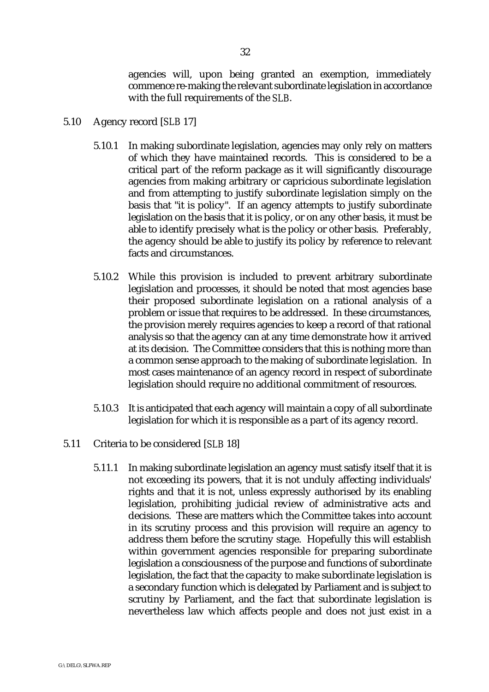- 5.10 Agency record [*SLB* 17]
	- 5.10.1 In making subordinate legislation, agencies may only rely on matters of which they have maintained records. This is considered to be a critical part of the reform package as it will significantly discourage agencies from making arbitrary or capricious subordinate legislation and from attempting to justify subordinate legislation simply on the basis that "it is policy". If an agency attempts to justify subordinate legislation on the basis that it is policy, or on any other basis, it must be able to identify precisely what is the policy or other basis. Preferably, the agency should be able to justify its policy by reference to relevant facts and circumstances.
	- 5.10.2 While this provision is included to prevent arbitrary subordinate legislation and processes, it should be noted that most agencies base their proposed subordinate legislation on a rational analysis of a problem or issue that requires to be addressed. In these circumstances, the provision merely requires agencies to keep a record of that rational analysis so that the agency can at any time demonstrate how it arrived at its decision. The Committee considers that this is nothing more than a common sense approach to the making of subordinate legislation. In most cases maintenance of an agency record in respect of subordinate legislation should require no additional commitment of resources.
	- 5.10.3 It is anticipated that each agency will maintain a copy of all subordinate legislation for which it is responsible as a part of its agency record.
- 5.11 Criteria to be considered [*SLB* 18]
	- 5.11.1 In making subordinate legislation an agency must satisfy itself that it is not exceeding its powers, that it is not unduly affecting individuals' rights and that it is not, unless expressly authorised by its enabling legislation, prohibiting judicial review of administrative acts and decisions. These are matters which the Committee takes into account in its scrutiny process and this provision will require an agency to address them before the scrutiny stage. Hopefully this will establish within government agencies responsible for preparing subordinate legislation a consciousness of the purpose and functions of subordinate legislation, the fact that the capacity to make subordinate legislation is a secondary function which is delegated by Parliament and is subject to scrutiny by Parliament, and the fact that subordinate legislation is nevertheless law which affects people and does not just exist in a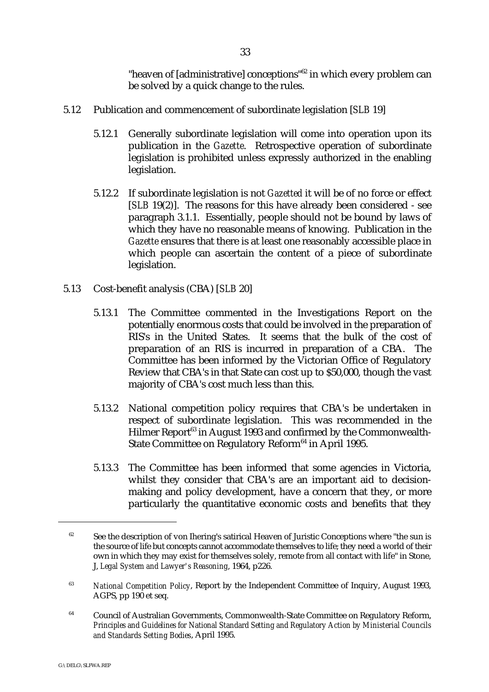"heaven of [administrative] conceptions"<sup>62</sup> in which every problem can be solved by a quick change to the rules.

- 5.12 Publication and commencement of subordinate legislation [*SLB* 19]
	- 5.12.1 Generally subordinate legislation will come into operation upon its publication in the *Gazette*. Retrospective operation of subordinate legislation is prohibited unless expressly authorized in the enabling legislation.
	- 5.12.2 If subordinate legislation is not *Gazetted* it will be of no force or effect [*SLB* 19(2)]. The reasons for this have already been considered - see paragraph 3.1.1. Essentially, people should not be bound by laws of which they have no reasonable means of knowing. Publication in the *Gazette* ensures that there is at least one reasonably accessible place in which people can ascertain the content of a piece of subordinate legislation.
- 5.13 Cost-benefit analysis (CBA) [*SLB* 20]
	- 5.13.1 The Committee commented in the Investigations Report on the potentially enormous costs that could be involved in the preparation of RIS's in the United States. It seems that the bulk of the cost of preparation of an RIS is incurred in preparation of a CBA. The Committee has been informed by the Victorian Office of Regulatory Review that CBA's in that State can cost up to \$50,000, though the vast majority of CBA's cost much less than this.
	- 5.13.2 National competition policy requires that CBA's be undertaken in respect of subordinate legislation. This was recommended in the Hilmer Report<sup>63</sup> in August 1993 and confirmed by the Commonwealth-State Committee on Regulatory Reform<sup>64</sup> in April 1995.
	- 5.13.3 The Committee has been informed that some agencies in Victoria, whilst they consider that CBA's are an important aid to decisionmaking and policy development, have a concern that they, or more particularly the quantitative economic costs and benefits that they

 $62$  See the description of von Ihering's satirical Heaven of Juristic Conceptions where "the sun is the source of life but concepts cannot accommodate themselves to life; they need a world of their own in which they may exist for themselves solely, remote from all contact with life" in Stone, J, *Legal System and Lawyer's Reasoning*, 1964, p226.

<sup>&</sup>lt;sup>63</sup> National Competition Policy, Report by the Independent Committee of Inquiry, August 1993, AGPS, pp 190 et seq.

<sup>&</sup>lt;sup>64</sup> Council of Australian Governments, Commonwealth-State Committee on Regulatory Reform, *Principles and Guidelines for National Standard Setting and Regulatory Action by Ministerial Councils and Standards Setting Bodies*, April 1995.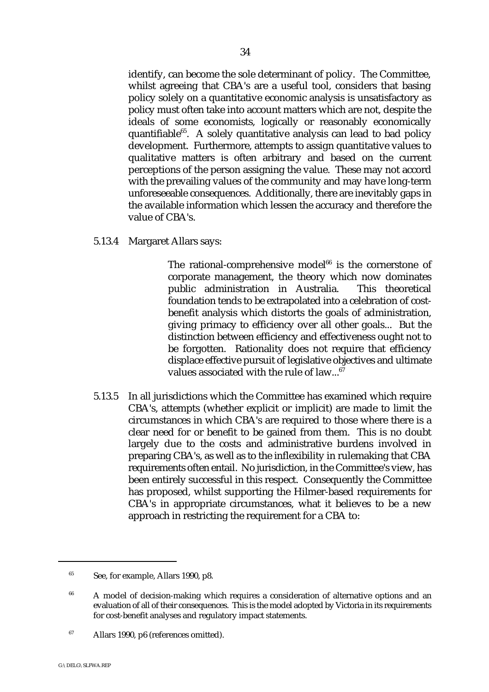identify, can become the sole determinant of policy. The Committee, whilst agreeing that CBA's are a useful tool, considers that basing policy solely on a quantitative economic analysis is unsatisfactory as policy must often take into account matters which are not, despite the ideals of some economists, logically or reasonably economically quantifiable $^{65}$ . A solely quantitative analysis can lead to bad policy development. Furthermore, attempts to assign quantitative values to qualitative matters is often arbitrary and based on the current perceptions of the person assigning the value. These may not accord with the prevailing values of the community and may have long-term unforeseeable consequences. Additionally, there are inevitably gaps in the available information which lessen the accuracy and therefore the value of CBA's.

5.13.4 Margaret Allars says:

The rational-comprehensive model $^{66}$  is the cornerstone of corporate management, the theory which now dominates public administration in Australia. This theoretical foundation tends to be extrapolated into a celebration of costbenefit analysis which distorts the goals of administration, giving primacy to efficiency over all other goals... But the distinction between efficiency and effectiveness ought not to be forgotten. Rationality does not require that efficiency displace effective pursuit of legislative objectives and ultimate values associated with the rule of law... $67$ 

5.13.5 In all jurisdictions which the Committee has examined which require CBA's, attempts (whether explicit or implicit) are made to limit the circumstances in which CBA's are required to those where there is a clear need for or benefit to be gained from them. This is no doubt largely due to the costs and administrative burdens involved in preparing CBA's, as well as to the inflexibility in rulemaking that CBA requirements often entail. No jurisdiction, in the Committee's view, has been entirely successful in this respect. Consequently the Committee has proposed, whilst supporting the Hilmer-based requirements for CBA's in appropriate circumstances, what it believes to be a new approach in restricting the requirement for a CBA to:

 $s<sup>65</sup>$  See, for example, Allars 1990, p8.

 $66$  A model of decision-making which requires a consideration of alternative options and an evaluation of all of their consequences. This is the model adopted by Victoria in its requirements for cost-benefit analyses and regulatory impact statements.

 $^{67}$  Allars 1990, p6 (references omitted).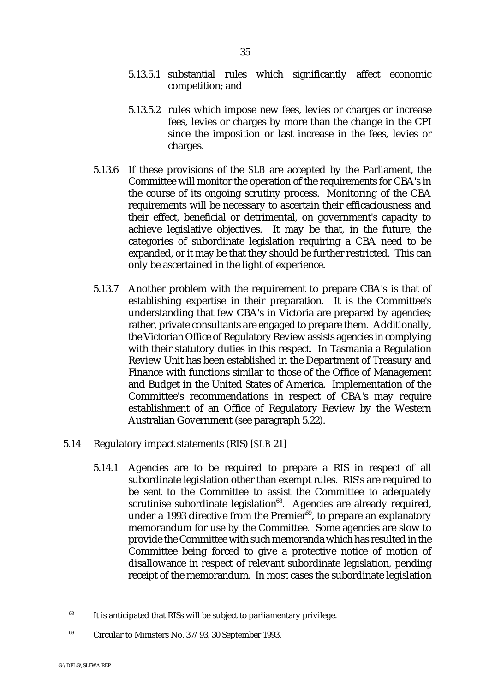- 5.13.5.1 substantial rules which significantly affect economic competition; and
- 5.13.5.2 rules which impose new fees, levies or charges or increase fees, levies or charges by more than the change in the CPI since the imposition or last increase in the fees, levies or charges.
- 5.13.6 If these provisions of the *SLB* are accepted by the Parliament, the Committee will monitor the operation of the requirements for CBA's in the course of its ongoing scrutiny process. Monitoring of the CBA requirements will be necessary to ascertain their efficaciousness and their effect, beneficial or detrimental, on government's capacity to achieve legislative objectives. It may be that, in the future, the categories of subordinate legislation requiring a CBA need to be expanded, or it may be that they should be further restricted. This can only be ascertained in the light of experience.
- 5.13.7 Another problem with the requirement to prepare CBA's is that of establishing expertise in their preparation. It is the Committee's understanding that few CBA's in Victoria are prepared by agencies; rather, private consultants are engaged to prepare them. Additionally, the Victorian Office of Regulatory Review assists agencies in complying with their statutory duties in this respect. In Tasmania a Regulation Review Unit has been established in the Department of Treasury and Finance with functions similar to those of the Office of Management and Budget in the United States of America. Implementation of the Committee's recommendations in respect of CBA's may require establishment of an Office of Regulatory Review by the Western Australian Government (see paragraph 5.22).
- 5.14 Regulatory impact statements (RIS) [*SLB* 21]
	- 5.14.1 Agencies are to be required to prepare a RIS in respect of all subordinate legislation other than exempt rules. RIS's are required to be sent to the Committee to assist the Committee to adequately scrutinise subordinate legislation<sup>68</sup>. Agencies are already required, under a 1993 directive from the Premier $69$ , to prepare an explanatory memorandum for use by the Committee. Some agencies are slow to provide the Committee with such memoranda which has resulted in the Committee being forced to give a protective notice of motion of disallowance in respect of relevant subordinate legislation, pending receipt of the memorandum. In most cases the subordinate legislation

 $168$  It is anticipated that RISs will be subject to parliamentary privilege.

 $^{69}$  Circular to Ministers No. 37/93, 30 September 1993.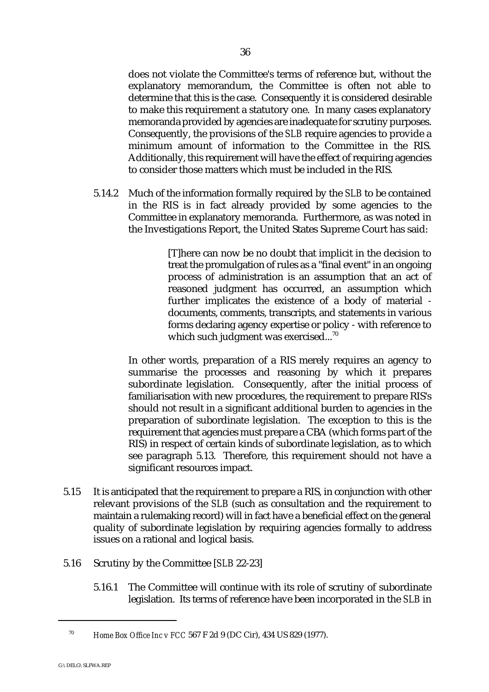does not violate the Committee's terms of reference but, without the explanatory memorandum, the Committee is often not able to determine that this is the case. Consequently it is considered desirable to make this requirement a statutory one. In many cases explanatory memoranda provided by agencies are inadequate for scrutiny purposes. Consequently, the provisions of the *SLB* require agencies to provide a minimum amount of information to the Committee in the RIS. Additionally, this requirement will have the effect of requiring agencies to consider those matters which must be included in the RIS.

5.14.2 Much of the information formally required by the *SLB* to be contained in the RIS is in fact already provided by some agencies to the Committee in explanatory memoranda. Furthermore, as was noted in the Investigations Report, the United States Supreme Court has said:

> [T]here can now be no doubt that implicit in the decision to treat the promulgation of rules as a "final event" in an ongoing process of administration is an assumption that an act of reasoned judgment has occurred, an assumption which further implicates the existence of a body of material documents, comments, transcripts, and statements in various forms declaring agency expertise or policy - with reference to which such judgment was exercised...<sup>70</sup>

In other words, preparation of a RIS merely requires an agency to summarise the processes and reasoning by which it prepares subordinate legislation. Consequently, after the initial process of familiarisation with new procedures, the requirement to prepare RIS's should not result in a significant additional burden to agencies in the preparation of subordinate legislation. The exception to this is the requirement that agencies must prepare a CBA (which forms part of the RIS) in respect of certain kinds of subordinate legislation, as to which see paragraph 5.13. Therefore, this requirement should not have a significant resources impact.

- 5.15 It is anticipated that the requirement to prepare a RIS, in conjunction with other relevant provisions of the *SLB* (such as consultation and the requirement to maintain a rulemaking record) will in fact have a beneficial effect on the general quality of subordinate legislation by requiring agencies formally to address issues on a rational and logical basis.
- 5.16 Scrutiny by the Committee [*SLB* 22-23]
	- 5.16.1 The Committee will continue with its role of scrutiny of subordinate legislation. Its terms of reference have been incorporated in the *SLB* in

<sup>&</sup>lt;sup>70</sup> Home Box Office Inc v FCC 567 F 2d 9 (DC Cir), 434 US 829 (1977).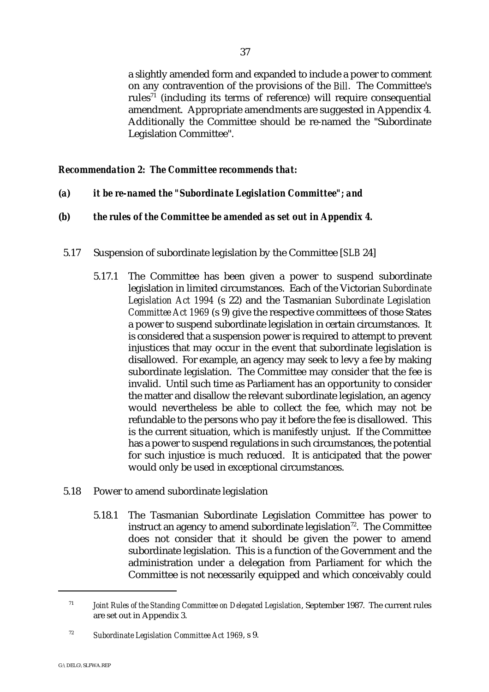a slightly amended form and expanded to include a power to comment on any contravention of the provisions of the *Bill*. The Committee's rules<sup> $71$ </sup> (including its terms of reference) will require consequential amendment. Appropriate amendments are suggested in Appendix 4. Additionally the Committee should be re-named the "Subordinate Legislation Committee".

# *Recommendation 2: The Committee recommends that:*

- *(a) it be re-named the "Subordinate Legislation Committee"; and*
- *(b) the rules of the Committee be amended as set out in Appendix 4.*
- 5.17 Suspension of subordinate legislation by the Committee [*SLB* 24]
	- 5.17.1 The Committee has been given a power to suspend subordinate legislation in limited circumstances. Each of the Victorian *Subordinate Legislation Act 1994* (s 22) and the Tasmanian *Subordinate Legislation Committee Act 1969* (s 9) give the respective committees of those States a power to suspend subordinate legislation in certain circumstances. It is considered that a suspension power is required to attempt to prevent injustices that may occur in the event that subordinate legislation is disallowed. For example, an agency may seek to levy a fee by making subordinate legislation. The Committee may consider that the fee is invalid. Until such time as Parliament has an opportunity to consider the matter and disallow the relevant subordinate legislation, an agency would nevertheless be able to collect the fee, which may not be refundable to the persons who pay it before the fee is disallowed. This is the current situation, which is manifestly unjust. If the Committee has a power to suspend regulations in such circumstances, the potential for such injustice is much reduced. It is anticipated that the power would only be used in exceptional circumstances.
- 5.18 Power to amend subordinate legislation
	- 5.18.1 The Tasmanian Subordinate Legislation Committee has power to instruct an agency to amend subordinate legislation<sup> $72$ </sup>. The Committee does not consider that it should be given the power to amend subordinate legislation. This is a function of the Government and the administration under a delegation from Parliament for which the Committee is not necessarily equipped and which conceivably could

*Joint Rules of the Standing Committee on Delegated Legislation*, September 1987. The current rules <sup>71</sup> are set out in Appendix 3.

*Subordinate Legislation Committee Act 1969*, s 9. <sup>72</sup>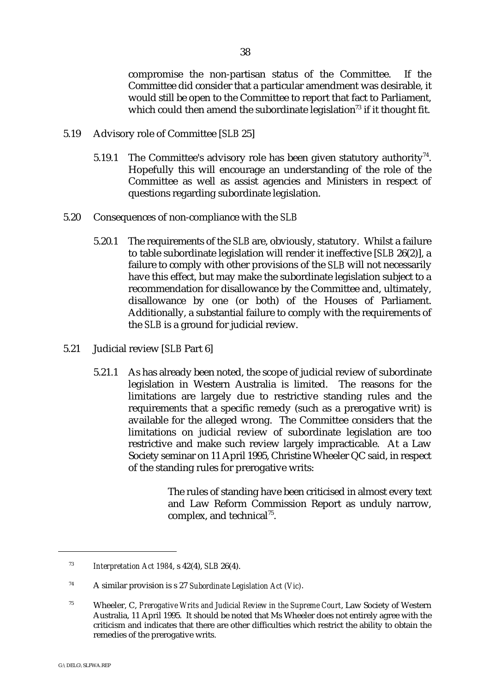compromise the non-partisan status of the Committee. If the Committee did consider that a particular amendment was desirable, it would still be open to the Committee to report that fact to Parliament, which could then amend the subordinate legislation<sup> $73$ </sup> if it thought fit.

- 5.19 Advisory role of Committee [*SLB* 25]
	- 5.19.1 The Committee's advisory role has been given statutory authority<sup>74</sup>. Hopefully this will encourage an understanding of the role of the Committee as well as assist agencies and Ministers in respect of questions regarding subordinate legislation.
- 5.20 Consequences of non-compliance with the *SLB*
	- 5.20.1 The requirements of the *SLB* are, obviously, statutory. Whilst a failure to table subordinate legislation will render it ineffective [*SLB* 26(2)], a failure to comply with other provisions of the *SLB* will not necessarily have this effect, but may make the subordinate legislation subject to a recommendation for disallowance by the Committee and, ultimately, disallowance by one (or both) of the Houses of Parliament. Additionally, a substantial failure to comply with the requirements of the *SLB* is a ground for judicial review.
- 5.21 Judicial review [*SLB* Part 6]
	- 5.21.1 As has already been noted, the scope of judicial review of subordinate legislation in Western Australia is limited. The reasons for the limitations are largely due to restrictive standing rules and the requirements that a specific remedy (such as a prerogative writ) is available for the alleged wrong. The Committee considers that the limitations on judicial review of subordinate legislation are too restrictive and make such review largely impracticable. At a Law Society seminar on 11 April 1995, Christine Wheeler QC said, in respect of the standing rules for prerogative writs:

The rules of standing have been criticised in almost every text and Law Reform Commission Report as unduly narrow, complex, and technical $^{75}$ .

*Interpretation Act 1984*, s 42(4), *SLB* 26(4). <sup>73</sup>

A similar provision is s 27 *Subordinate Legislation Act (Vic)*. <sup>74</sup>

<sup>&</sup>lt;sup>75</sup> Wheeler, C, *Prerogative Writs and Judicial Review in the Supreme Court*, Law Society of Western Australia, 11 April 1995. It should be noted that Ms Wheeler does not entirely agree with the criticism and indicates that there are other difficulties which restrict the ability to obtain the remedies of the prerogative writs.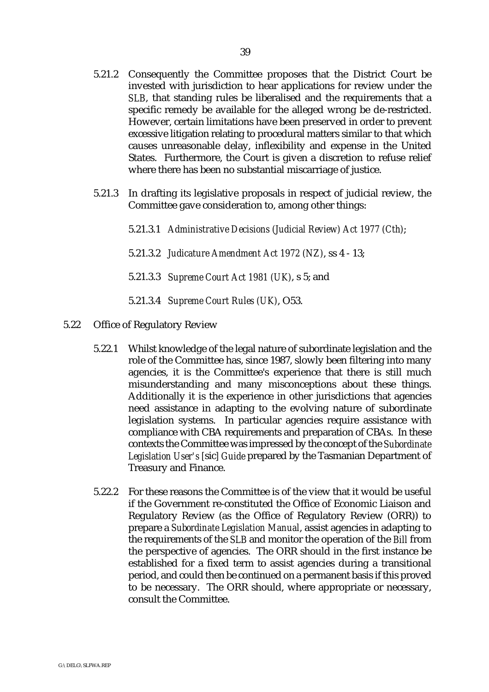- 5.21.2 Consequently the Committee proposes that the District Court be invested with jurisdiction to hear applications for review under the *SLB*, that standing rules be liberalised and the requirements that a specific remedy be available for the alleged wrong be de-restricted. However, certain limitations have been preserved in order to prevent excessive litigation relating to procedural matters similar to that which causes unreasonable delay, inflexibility and expense in the United States. Furthermore, the Court is given a discretion to refuse relief where there has been no substantial miscarriage of justice.
- 5.21.3 In drafting its legislative proposals in respect of judicial review, the Committee gave consideration to, among other things:
	- 5.21.3.1 *Administrative Decisions (Judicial Review) Act 1977 (Cth)*;
	- 5.21.3.2 *Judicature Amendment Act 1972 (NZ)*, ss 4 13;
	- 5.21.3.3 *Supreme Court Act 1981 (UK)*, s 5; and
	- 5.21.3.4 *Supreme Court Rules (UK)*, O53.
- 5.22 Office of Regulatory Review
	- 5.22.1 Whilst knowledge of the legal nature of subordinate legislation and the role of the Committee has, since 1987, slowly been filtering into many agencies, it is the Committee's experience that there is still much misunderstanding and many misconceptions about these things. Additionally it is the experience in other jurisdictions that agencies need assistance in adapting to the evolving nature of subordinate legislation systems. In particular agencies require assistance with compliance with CBA requirements and preparation of CBAs. In these contexts the Committee was impressed by the concept of the *Subordinate Legislation User's [*sic*] Guide* prepared by the Tasmanian Department of Treasury and Finance.
	- 5.22.2 For these reasons the Committee is of the view that it would be useful if the Government re-constituted the Office of Economic Liaison and Regulatory Review (as the Office of Regulatory Review (ORR)) to prepare a *Subordinate Legislation Manual*, assist agencies in adapting to the requirements of the *SLB* and monitor the operation of the *Bill* from the perspective of agencies. The ORR should in the first instance be established for a fixed term to assist agencies during a transitional period, and could then be continued on a permanent basis if this proved to be necessary. The ORR should, where appropriate or necessary, consult the Committee.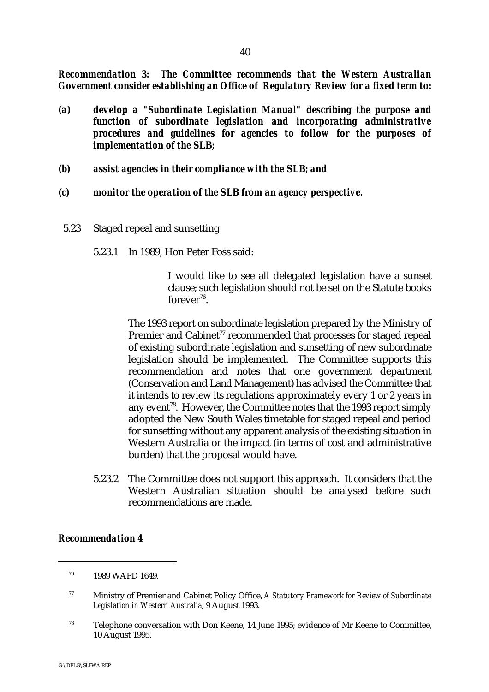*Recommendation 3: The Committee recommends that the Western Australian Government consider establishing an Office of Regulatory Review for a fixed term to:*

- *(a) develop a "Subordinate Legislation Manual" describing the purpose and function of subordinate legislation and incorporating administrative procedures and guidelines for agencies to follow for the purposes of implementation of the* **SLB***;*
- *(b) assist agencies in their compliance with the* **SLB***; and*
- *(c) monitor the operation of the* **SLB** *from an agency perspective.*
- 5.23 Staged repeal and sunsetting
	- 5.23.1 In 1989, Hon Peter Foss said:

I would like to see all delegated legislation have a sunset clause; such legislation should not be set on the Statute books  $for ever^{76}$ .

The 1993 report on subordinate legislation prepared by the Ministry of Premier and Cabinet<sup>77</sup> recommended that processes for staged repeal of existing subordinate legislation and sunsetting of new subordinate legislation should be implemented. The Committee supports this recommendation and notes that one government department (Conservation and Land Management) has advised the Committee that it intends to review its regulations approximately every 1 or 2 years in any event<sup>78</sup>. However, the Committee notes that the 1993 report simply adopted the New South Wales timetable for staged repeal and period for sunsetting without any apparent analysis of the existing situation in Western Australia or the impact (in terms of cost and administrative burden) that the proposal would have.

5.23.2 The Committee does not support this approach. It considers that the Western Australian situation should be analysed before such recommendations are made.

#### *Recommendation 4*

 $78$  Telephone conversation with Don Keene, 14 June 1995; evidence of Mr Keene to Committee, 10 August 1995.

 <sup>1989</sup> WAPD 1649. <sup>76</sup>

Ministry of Premier and Cabinet Policy Office, *A Statutory Framework for Review of Subordinate* <sup>77</sup> *Legislation in Western Australia*, 9 August 1993.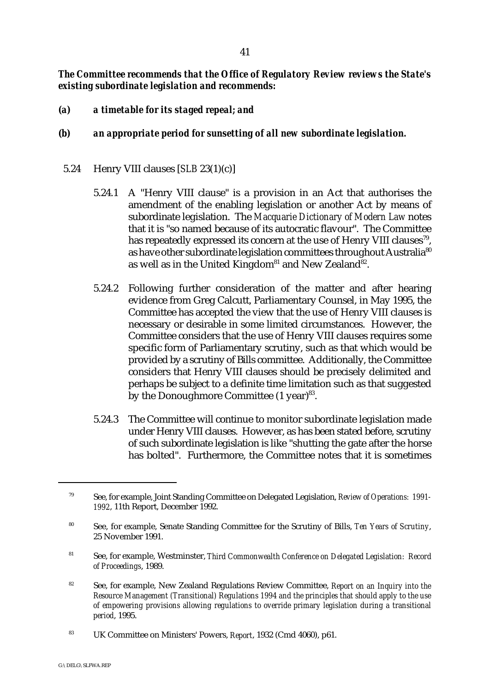# *The Committee recommends that the Office of Regulatory Review reviews the State's existing subordinate legislation and recommends:*

- *(a) a timetable for its staged repeal; and*
- *(b) an appropriate period for sunsetting of all new subordinate legislation.*
- 5.24 Henry VIII clauses [*SLB* 23(1)(c)]
	- 5.24.1 A "Henry VIII clause" is a provision in an Act that authorises the amendment of the enabling legislation or another Act by means of subordinate legislation. The *Macquarie Dictionary of Modern Law* notes that it is "so named because of its autocratic flavour". The Committee has repeatedly expressed its concern at the use of Henry VIII clauses<sup>79</sup>, as have other subordinate legislation committees throughout Australia<sup>80</sup> as well as in the United Kingdom<sup>81</sup> and New Zealand<sup>82</sup>.
	- 5.24.2 Following further consideration of the matter and after hearing evidence from Greg Calcutt, Parliamentary Counsel, in May 1995, the Committee has accepted the view that the use of Henry VIII clauses is necessary or desirable in some limited circumstances. However, the Committee considers that the use of Henry VIII clauses requires some specific form of Parliamentary scrutiny, such as that which would be provided by a scrutiny of Bills committee. Additionally, the Committee considers that Henry VIII clauses should be precisely delimited and perhaps be subject to a definite time limitation such as that suggested by the Donoughmore Committee  $(1 \text{ year})^{83}$ .
	- 5.24.3 The Committee will continue to monitor subordinate legislation made under Henry VIII clauses. However, as has been stated before, scrutiny of such subordinate legislation is like "shutting the gate after the horse has bolted". Furthermore, the Committee notes that it is sometimes

- See, for example, Westminster, *Third Commonwealth Conference on Delegated Legislation: Record* <sup>81</sup> *of Proceedings*, 1989.
- <sup>82</sup> See, for example, New Zealand Regulations Review Committee, *Report on an Inquiry into the Resource Management (Transitional) Regulations 1994 and the principles that should apply to the use of empowering provisions allowing regulations to override primary legislation during a transitional period*, 1995.
- <sup>83</sup> UK Committee on Ministers' Powers, *Report*, 1932 (Cmd 4060), p61.

See, for example, Joint Standing Committee on Delegated Legislation, *Review of Operations: 1991-* <sup>79</sup> *1992*, 11th Report, December 1992.

See, for example, Senate Standing Committee for the Scrutiny of Bills, *Ten Years of Scrutiny*, <sup>80</sup> 25 November 1991.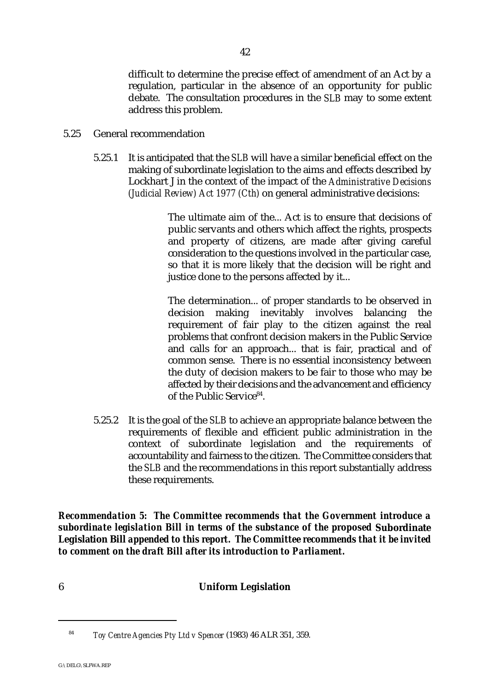difficult to determine the precise effect of amendment of an Act by a regulation, particular in the absence of an opportunity for public debate. The consultation procedures in the *SLB* may to some extent address this problem.

- 5.25 General recommendation
	- 5.25.1 It is anticipated that the *SLB* will have a similar beneficial effect on the making of subordinate legislation to the aims and effects described by Lockhart J in the context of the impact of the *Administrative Decisions (Judicial Review) Act 1977 (Cth)* on general administrative decisions:

The ultimate aim of the... Act is to ensure that decisions of public servants and others which affect the rights, prospects and property of citizens, are made after giving careful consideration to the questions involved in the particular case, so that it is more likely that the decision will be right and justice done to the persons affected by it...

The determination... of proper standards to be observed in decision making inevitably involves balancing the requirement of fair play to the citizen against the real problems that confront decision makers in the Public Service and calls for an approach... that is fair, practical and of common sense. There is no essential inconsistency between the duty of decision makers to be fair to those who may be affected by their decisions and the advancement and efficiency of the Public Service<sup>84</sup>.

5.25.2 It is the goal of the *SLB* to achieve an appropriate balance between the requirements of flexible and efficient public administration in the context of subordinate legislation and the requirements of accountability and fairness to the citizen. The Committee considers that the *SLB* and the recommendations in this report substantially address these requirements.

*Recommendation 5: The Committee recommends that the Government introduce a subordinate legislation Bill in terms of the substance of the proposed* **Subordinate Legislation Bill** *appended to this report. The Committee recommends that it be invited to comment on the draft Bill after its introduction to Parliament.*

# 6 **Uniform Legislation**

<sup>&</sup>lt;sup>84</sup> Toy Centre Agencies Pty Ltd v Spencer (1983) 46 ALR 351, 359.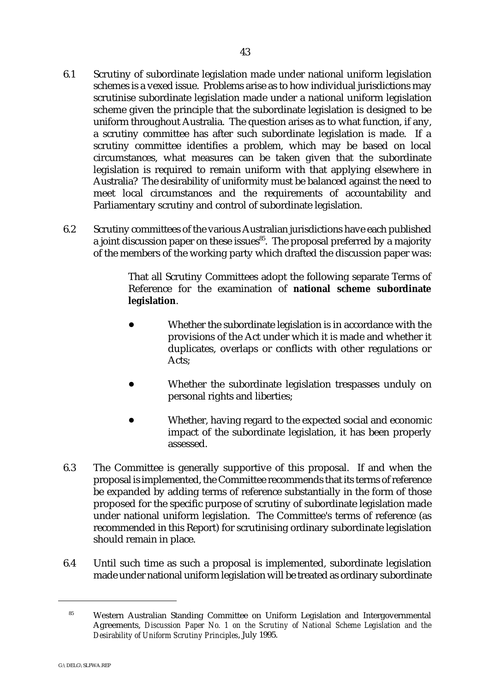- 6.1 Scrutiny of subordinate legislation made under national uniform legislation schemes is a vexed issue. Problems arise as to how individual jurisdictions may scrutinise subordinate legislation made under a national uniform legislation scheme given the principle that the subordinate legislation is designed to be uniform throughout Australia. The question arises as to what function, if any, a scrutiny committee has after such subordinate legislation is made. If a scrutiny committee identifies a problem, which may be based on local circumstances, what measures can be taken given that the subordinate legislation is required to remain uniform with that applying elsewhere in Australia? The desirability of uniformity must be balanced against the need to meet local circumstances and the requirements of accountability and Parliamentary scrutiny and control of subordinate legislation.
- 6.2 Scrutiny committees of the various Australian jurisdictions have each published a joint discussion paper on these issues<sup> $85$ </sup>. The proposal preferred by a majority of the members of the working party which drafted the discussion paper was:

That all Scrutiny Committees adopt the following separate Terms of Reference for the examination of **national scheme subordinate legislation**.

- Whether the subordinate legislation is in accordance with the provisions of the Act under which it is made and whether it duplicates, overlaps or conflicts with other regulations or Acts;
- Whether the subordinate legislation trespasses unduly on personal rights and liberties;
- Whether, having regard to the expected social and economic impact of the subordinate legislation, it has been properly assessed.
- 6.3 The Committee is generally supportive of this proposal. If and when the proposal is implemented, the Committee recommends that its terms of reference be expanded by adding terms of reference substantially in the form of those proposed for the specific purpose of scrutiny of subordinate legislation made under national uniform legislation. The Committee's terms of reference (as recommended in this Report) for scrutinising ordinary subordinate legislation should remain in place.
- 6.4 Until such time as such a proposal is implemented, subordinate legislation made under national uniform legislation will be treated as ordinary subordinate

<sup>&</sup>lt;sup>85</sup> Western Australian Standing Committee on Uniform Legislation and Intergovernmental Agreements, *Discussion Paper No. 1 on the Scrutiny of National Scheme Legislation and the Desirability of Uniform Scrutiny Principles*, July 1995.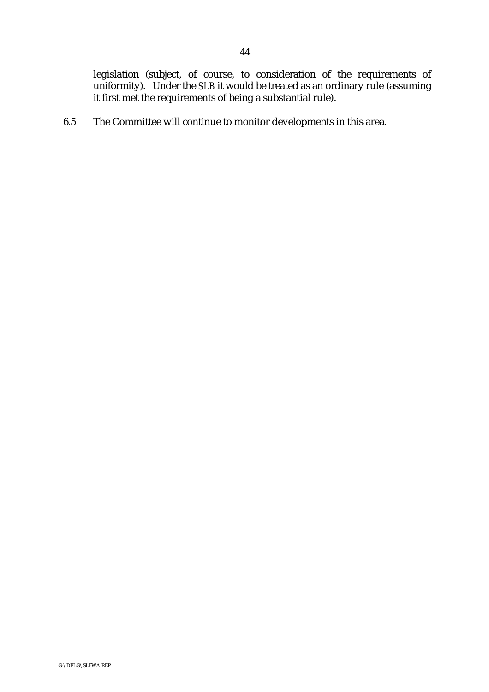legislation (subject, of course, to consideration of the requirements of uniformity). Under the *SLB* it would be treated as an ordinary rule (assuming it first met the requirements of being a substantial rule).

6.5 The Committee will continue to monitor developments in this area.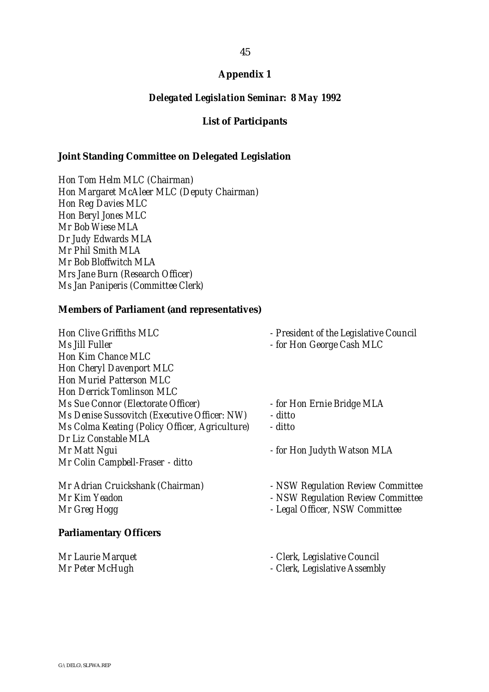#### *Delegated Legislation Seminar: 8 May 1992*

#### **List of Participants**

#### **Joint Standing Committee on Delegated Legislation**

*Hon Tom Helm MLC (Chairman) Hon Margaret McAleer MLC (Deputy Chairman) Hon Reg Davies MLC Hon Beryl Jones MLC Mr Bob Wiese MLA Dr Judy Edwards MLA Mr Phil Smith MLA Mr Bob Bloffwitch MLA Mrs Jane Burn (Research Officer) Ms Jan Paniperis (Committee Clerk)*

#### **Members of Parliament (and representatives)**

*Hon Clive Griffiths MLC - President of the Legislative Council Ms Jill Fuller - for Hon George Cash MLC Hon Kim Chance MLC Hon Cheryl Davenport MLC Hon Muriel Patterson MLC Hon Derrick Tomlinson MLC Ms Sue Connor (Electorate Officer) - for Hon Ernie Bridge MLA Ms Denise Sussovitch (Executive Officer: NW) - ditto Ms Colma Keating (Policy Officer, Agriculture) - ditto Dr Liz Constable MLA Mr Matt Ngui - for Hon Judyth Watson MLA Mr Colin Campbell-Fraser - ditto*

*Mr Kim Yeadon - NSW Regulation Review Committee*

#### **Parliamentary Officers**

- 
- 
- 
- 
- 

- *Mr Adrian Cruickshank (Chairman) NSW Regulation Review Committee*
	-
	- *Mr Greg Hogg Legal Officer, NSW Committee*
- *Mr Laurie Marquet Clerk, Legislative Council*
- *Mr Peter McHugh Clerk, Legislative Assembly*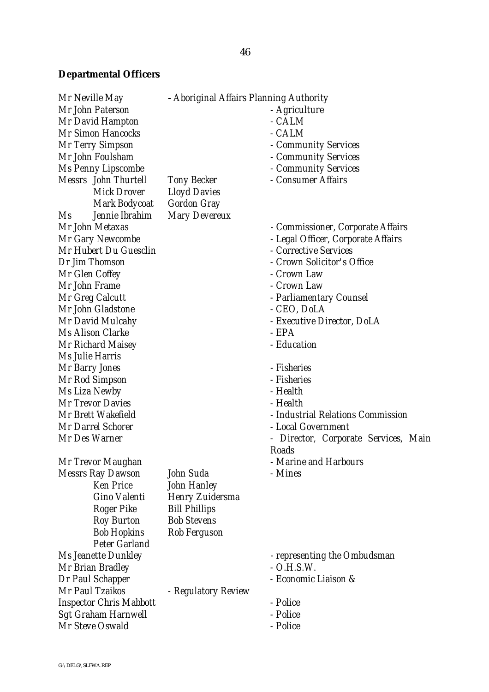# **Departmental Officers**

| Mr Neville May                   | - Aboriginal Affairs Planning Authority |                                      |
|----------------------------------|-----------------------------------------|--------------------------------------|
| Mr John Paterson                 |                                         | - Agriculture                        |
| <b>Mr David Hampton</b>          |                                         | - CALM                               |
| <b>Mr Simon Hancocks</b>         |                                         | - CALM                               |
| <b>Mr Terry Simpson</b>          |                                         | - Community Services                 |
| Mr John Foulsham                 |                                         | - Community Services                 |
| <b>Ms Penny Lipscombe</b>        |                                         | - Community Services                 |
| <b>Messrs</b> John Thurtell      | <b>Tony Becker</b>                      | - Consumer Affairs                   |
| <b>Mick Drover</b>               | <b>Lloyd Davies</b>                     |                                      |
| <b>Mark Bodycoat</b>             | <b>Gordon Gray</b>                      |                                      |
| Jennie Ibrahim<br>M <sub>S</sub> | <b>Mary Devereux</b>                    |                                      |
| Mr John Metaxas                  |                                         | - Commissioner, Corporate Affairs    |
| <b>Mr Gary Newcombe</b>          |                                         | - Legal Officer, Corporate Affairs   |
| Mr Hubert Du Guesclin            |                                         | - Corrective Services                |
| Dr Jim Thomson                   |                                         | - Crown Solicitor's Office           |
| Mr Glen Coffey                   |                                         | - Crown Law                          |
| Mr John Frame                    |                                         | - Crown Law                          |
| Mr Greg Calcutt                  |                                         | - Parliamentary Counsel              |
| Mr John Gladstone                |                                         | - CEO, DoLA                          |
| Mr David Mulcahy                 |                                         | - Executive Director, DoLA           |
| <b>Ms Alison Clarke</b>          |                                         | - EPA                                |
| <b>Mr Richard Maisey</b>         |                                         | - Education                          |
| Ms Julie Harris                  |                                         |                                      |
| <b>Mr Barry Jones</b>            |                                         | - Fisheries                          |
| <b>Mr Rod Simpson</b>            |                                         | - Fisheries                          |
| Ms Liza Newby                    |                                         | - Health                             |
| <b>Mr Trevor Davies</b>          |                                         | - Health                             |
| Mr Brett Wakefield               |                                         | - Industrial Relations Commission    |
| <b>Mr Darrel Schorer</b>         |                                         | - Local Government                   |
| Mr Des Warner                    |                                         | - Director, Corporate Services, Main |
|                                  |                                         | <b>Roads</b>                         |
| Mr Trevor Maughan                |                                         | - Marine and Harbours                |
| <b>Messrs Ray Dawson</b>         | John Suda                               | - Mines                              |
| <b>Ken Price</b>                 | <b>John Hanley</b>                      |                                      |
| <b>Gino Valenti</b>              | <b>Henry Zuidersma</b>                  |                                      |
| <b>Roger Pike</b>                | <b>Bill Phillips</b>                    |                                      |
| <b>Roy Burton</b>                | <b>Bob Stevens</b>                      |                                      |
| <b>Bob Hopkins</b>               | <b>Rob Ferguson</b>                     |                                      |
| <b>Peter Garland</b>             |                                         |                                      |
| <b>Ms Jeanette Dunkley</b>       |                                         | - representing the Ombudsman         |
| Mr Brian Bradley                 |                                         | $- O.H.S.W.$                         |
| <b>Dr Paul Schapper</b>          |                                         | - Economic Liaison &                 |
| Mr Paul Tzaikos                  | - Regulatory Review                     |                                      |
| <b>Inspector Chris Mabbott</b>   |                                         | - Police                             |
| <b>Sgt Graham Harnwell</b>       |                                         | - Police                             |
| Mr Steve Oswald                  |                                         | - Police                             |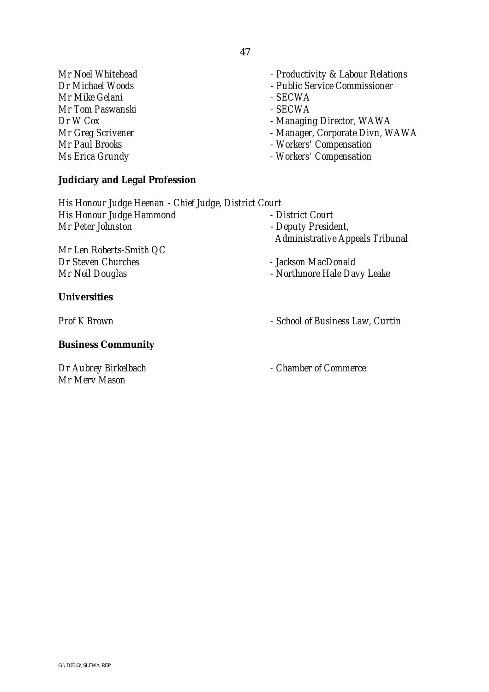*Mr Mike Gelani - SECWA Mr Tom Paswanski - SECWA Dr W Cox*<br>*Managing Director, WAWA*<br>*Manager, Corporate Divn, W*<br>*Manager, Corporate Divn, W* 

# **Judiciary and Legal Profession**

*Mr Noel Whitehead - Productivity & Labour Relations*

- *Dr Michael Woods Public Service Commissioner*
	-
	-
	-
	- *Mr Greg Scrivener Manager, Corporate Divn, WAWA*
- *Mr Paul Brooks Workers' Compensation*
- *Ms Erica Grundy Workers' Compensation*

*His Honour Judge Heenan - Chief Judge, District Court His Honour Judge Hammond* Fig. 2. Pistrict Court<br>
Mr Peter Johnston - Deputy Presidential Arr Peter Johnston *Mr Peter Johnston - Deputy President, Administrative Appeals Tribunal Mr Len Roberts-Smith QC Dr Steven Churches - Jackson MacDonald*

*Mr Neil Douglas - Northmore Hale Davy Leake*

**Universities**

#### **Business Community**

*Mr Merv Mason*

*Prof K Brown - School of Business Law, Curtin*

*Dr Aubrey Birkelbach - Chamber of Commerce*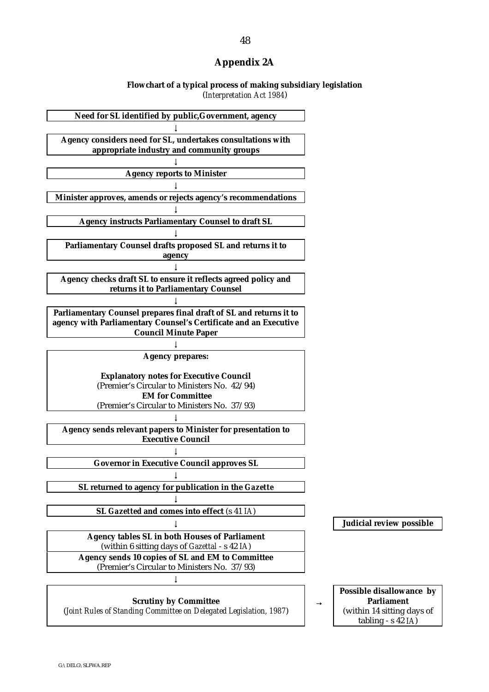# **Appendix 2A**

#### **Flowchart of a typical process of making subsidiary legislation** (*Interpretation Act 1984*)

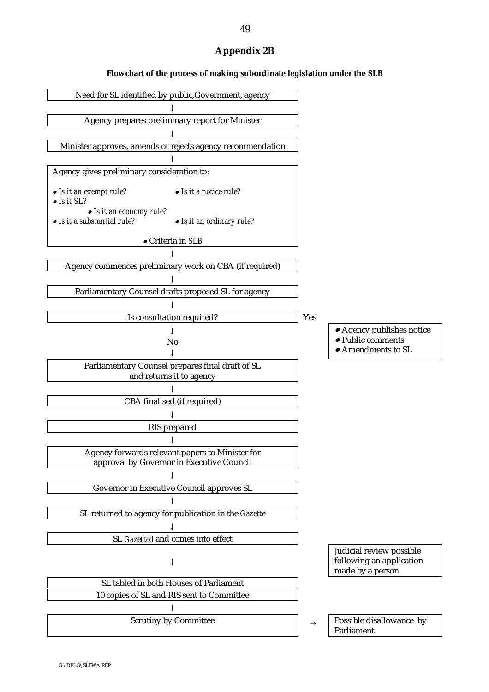# **Appendix 2B**

#### **Flowchart of the process of making subordinate legislation under the** *SLB*

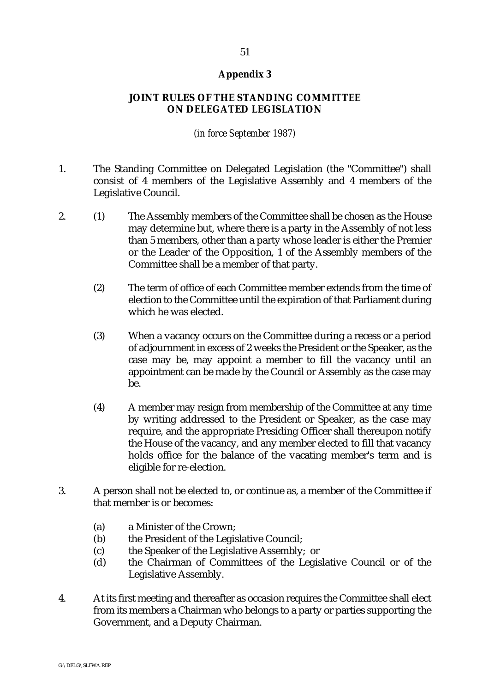# **JOINT RULES OF THE STANDING COMMITTEE ON DELEGATED LEGISLATION**

# *(in force September 1987)*

- 1. The Standing Committee on Delegated Legislation (the "Committee") shall consist of 4 members of the Legislative Assembly and 4 members of the Legislative Council.
- 2. (1) The Assembly members of the Committee shall be chosen as the House may determine but, where there is a party in the Assembly of not less than 5 members, other than a party whose leader is either the Premier or the Leader of the Opposition, 1 of the Assembly members of the Committee shall be a member of that party.
	- (2) The term of office of each Committee member extends from the time of election to the Committee until the expiration of that Parliament during which he was elected.
	- (3) When a vacancy occurs on the Committee during a recess or a period of adjournment in excess of 2 weeks the President or the Speaker, as the case may be, may appoint a member to fill the vacancy until an appointment can be made by the Council or Assembly as the case may be.
	- (4) A member may resign from membership of the Committee at any time by writing addressed to the President or Speaker, as the case may require, and the appropriate Presiding Officer shall thereupon notify the House of the vacancy, and any member elected to fill that vacancy holds office for the balance of the vacating member's term and is eligible for re-election.
- 3. A person shall not be elected to, or continue as, a member of the Committee if that member is or becomes:
	- (a) a Minister of the Crown;
	- (b) the President of the Legislative Council;
	- (c) the Speaker of the Legislative Assembly; or
	- (d) the Chairman of Committees of the Legislative Council or of the Legislative Assembly.
- 4. At its first meeting and thereafter as occasion requires the Committee shall elect from its members a Chairman who belongs to a party or parties supporting the Government, and a Deputy Chairman.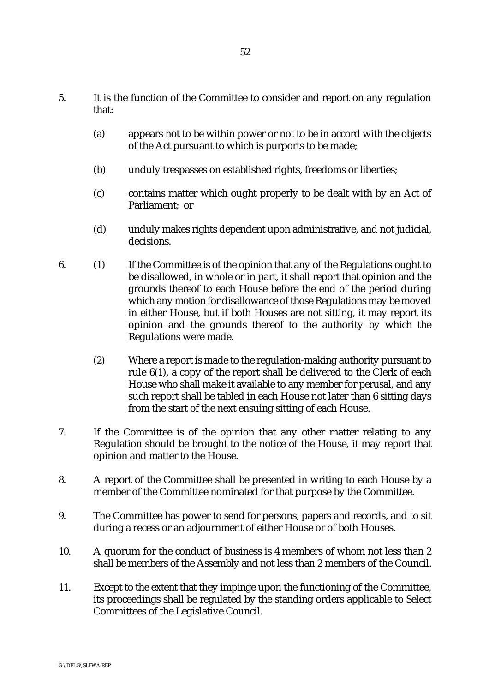- 5. It is the function of the Committee to consider and report on any regulation that:
	- (a) appears not to be within power or not to be in accord with the objects of the Act pursuant to which is purports to be made;
	- (b) unduly trespasses on established rights, freedoms or liberties;
	- (c) contains matter which ought properly to be dealt with by an Act of Parliament; or
	- (d) unduly makes rights dependent upon administrative, and not judicial, decisions.
- 6. (1) If the Committee is of the opinion that any of the Regulations ought to be disallowed, in whole or in part, it shall report that opinion and the grounds thereof to each House before the end of the period during which any motion for disallowance of those Regulations may be moved in either House, but if both Houses are not sitting, it may report its opinion and the grounds thereof to the authority by which the Regulations were made.
	- (2) Where a report is made to the regulation-making authority pursuant to rule 6(1), a copy of the report shall be delivered to the Clerk of each House who shall make it available to any member for perusal, and any such report shall be tabled in each House not later than 6 sitting days from the start of the next ensuing sitting of each House.
- 7. If the Committee is of the opinion that any other matter relating to any Regulation should be brought to the notice of the House, it may report that opinion and matter to the House.
- 8. A report of the Committee shall be presented in writing to each House by a member of the Committee nominated for that purpose by the Committee.
- 9. The Committee has power to send for persons, papers and records, and to sit during a recess or an adjournment of either House or of both Houses.
- 10. A quorum for the conduct of business is 4 members of whom not less than 2 shall be members of the Assembly and not less than 2 members of the Council.
- 11. Except to the extent that they impinge upon the functioning of the Committee, its proceedings shall be regulated by the standing orders applicable to Select Committees of the Legislative Council.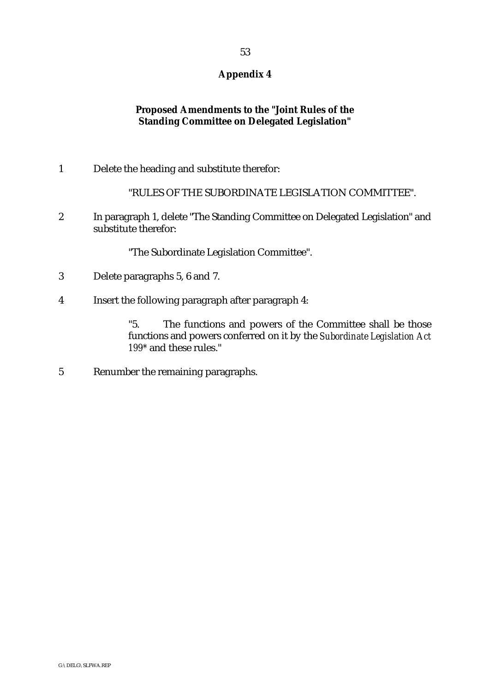# **Proposed Amendments to the "Joint Rules of the Standing Committee on Delegated Legislation"**

1 Delete the heading and substitute therefor:

"RULES OF THE SUBORDINATE LEGISLATION COMMITTEE".

2 In paragraph 1, delete "The Standing Committee on Delegated Legislation" and substitute therefor:

"The Subordinate Legislation Committee".

- 3 Delete paragraphs 5, 6 and 7.
- 4 Insert the following paragraph after paragraph 4:

"5. The functions and powers of the Committee shall be those functions and powers conferred on it by the *Subordinate Legislation Act 199\** and these rules."

5 Renumber the remaining paragraphs.

 $G\setminus$ DEL $G\setminus S$ LEWA.REP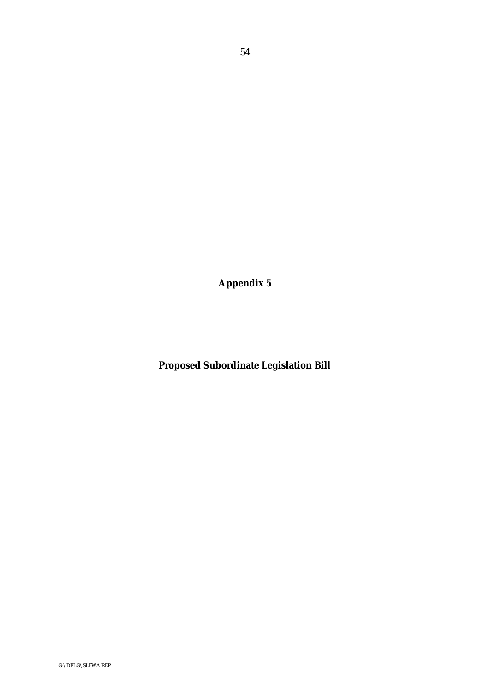**Proposed Subordinate Legislation Bill**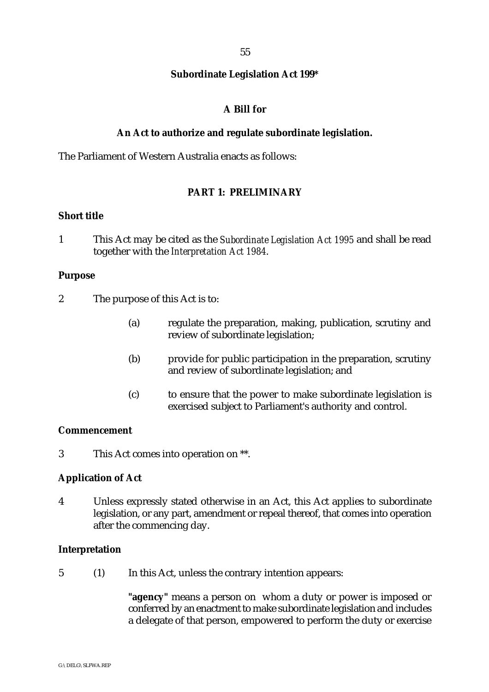#### **Subordinate Legislation Act 199\***

# **A Bill for**

#### **An Act to authorize and regulate subordinate legislation.**

The Parliament of Western Australia enacts as follows:

# **PART 1: PRELIMINARY**

#### **Short title**

1 This Act may be cited as the *Subordinate Legislation Act 1995* and shall be read together with the *Interpretation Act 1984*.

# **Purpose**

- 2 The purpose of this Act is to:
	- (a) regulate the preparation, making, publication, scrutiny and review of subordinate legislation;
	- (b) provide for public participation in the preparation, scrutiny and review of subordinate legislation; and
	- (c) to ensure that the power to make subordinate legislation is exercised subject to Parliament's authority and control.

# **Commencement**

3 This Act comes into operation on \*\*.

#### **Application of Act**

4 Unless expressly stated otherwise in an Act, this Act applies to subordinate legislation, or any part, amendment or repeal thereof, that comes into operation after the commencing day.

#### **Interpretation**

5 (1) In this Act, unless the contrary intention appears:

**"agency"** means a person on whom a duty or power is imposed or conferred by an enactment to make subordinate legislation and includes a delegate of that person, empowered to perform the duty or exercise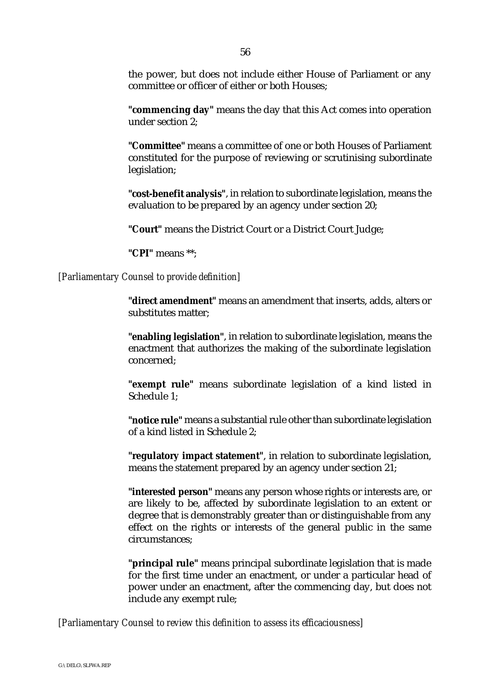the power, but does not include either House of Parliament or any committee or officer of either or both Houses;

**"commencing day"** means the day that this Act comes into operation under section 2;

**"Committee"** means a committee of one or both Houses of Parliament constituted for the purpose of reviewing or scrutinising subordinate legislation;

**"cost-benefit analysis"**, in relation to subordinate legislation, means the evaluation to be prepared by an agency under section 20;

**"Court"** means the District Court or a District Court Judge;

**"CPI"** means \*\*;

*[Parliamentary Counsel to provide definition]*

**"direct amendment"** means an amendment that inserts, adds, alters or substitutes matter;

**"enabling legislation"**, in relation to subordinate legislation, means the enactment that authorizes the making of the subordinate legislation concerned;

**"exempt rule"** means subordinate legislation of a kind listed in Schedule 1;

**"notice rule"** means a substantial rule other than subordinate legislation of a kind listed in Schedule 2;

**"regulatory impact statement"**, in relation to subordinate legislation, means the statement prepared by an agency under section 21;

**"interested person"** means any person whose rights or interests are, or are likely to be, affected by subordinate legislation to an extent or degree that is demonstrably greater than or distinguishable from any effect on the rights or interests of the general public in the same circumstances;

**"principal rule"** means principal subordinate legislation that is made for the first time under an enactment, or under a particular head of power under an enactment, after the commencing day, but does not include any exempt rule;

*[Parliamentary Counsel to review this definition to assess its efficaciousness]*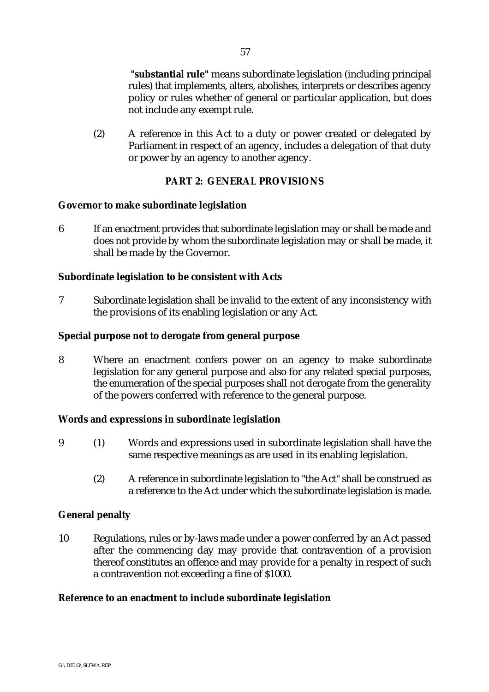**"substantial rule"** means subordinate legislation (including principal rules) that implements, alters, abolishes, interprets or describes agency policy or rules whether of general or particular application, but does not include any exempt rule.

(2) A reference in this Act to a duty or power created or delegated by Parliament in respect of an agency, includes a delegation of that duty or power by an agency to another agency.

# **PART 2: GENERAL PROVISIONS**

# **Governor to make subordinate legislation**

6 If an enactment provides that subordinate legislation may or shall be made and does not provide by whom the subordinate legislation may or shall be made, it shall be made by the Governor.

# **Subordinate legislation to be consistent with Acts**

7 Subordinate legislation shall be invalid to the extent of any inconsistency with the provisions of its enabling legislation or any Act.

# **Special purpose not to derogate from general purpose**

8 Where an enactment confers power on an agency to make subordinate legislation for any general purpose and also for any related special purposes, the enumeration of the special purposes shall not derogate from the generality of the powers conferred with reference to the general purpose.

# **Words and expressions in subordinate legislation**

- 9 (1) Words and expressions used in subordinate legislation shall have the same respective meanings as are used in its enabling legislation.
	- (2) A reference in subordinate legislation to "the Act" shall be construed as a reference to the Act under which the subordinate legislation is made.

# **General penalty**

10 Regulations, rules or by-laws made under a power conferred by an Act passed after the commencing day may provide that contravention of a provision thereof constitutes an offence and may provide for a penalty in respect of such a contravention not exceeding a fine of \$1000.

# **Reference to an enactment to include subordinate legislation**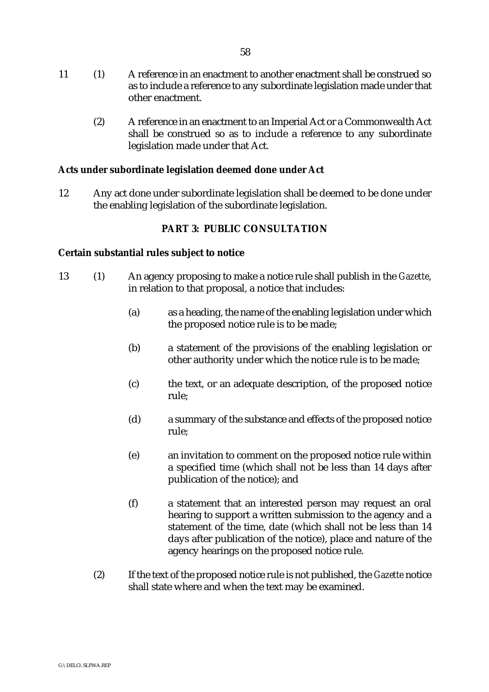- 11 (1) A reference in an enactment to another enactment shall be construed so as to include a reference to any subordinate legislation made under that other enactment.
	- (2) A reference in an enactment to an Imperial Act or a Commonwealth Act shall be construed so as to include a reference to any subordinate legislation made under that Act.

# **Acts under subordinate legislation deemed done under Act**

12 Any act done under subordinate legislation shall be deemed to be done under the enabling legislation of the subordinate legislation.

# **PART 3: PUBLIC CONSULTATION**

#### **Certain substantial rules subject to notice**

- 13 (1) An agency proposing to make a notice rule shall publish in the *Gazette*, in relation to that proposal, a notice that includes:
	- (a) as a heading, the name of the enabling legislation under which the proposed notice rule is to be made;
	- (b) a statement of the provisions of the enabling legislation or other authority under which the notice rule is to be made;
	- (c) the text, or an adequate description, of the proposed notice rule;
	- (d) a summary of the substance and effects of the proposed notice rule;
	- (e) an invitation to comment on the proposed notice rule within a specified time (which shall not be less than 14 days after publication of the notice); and
	- (f) a statement that an interested person may request an oral hearing to support a written submission to the agency and a statement of the time, date (which shall not be less than 14 days after publication of the notice), place and nature of the agency hearings on the proposed notice rule.
	- (2) If the text of the proposed notice rule is not published, the *Gazette* notice shall state where and when the text may be examined.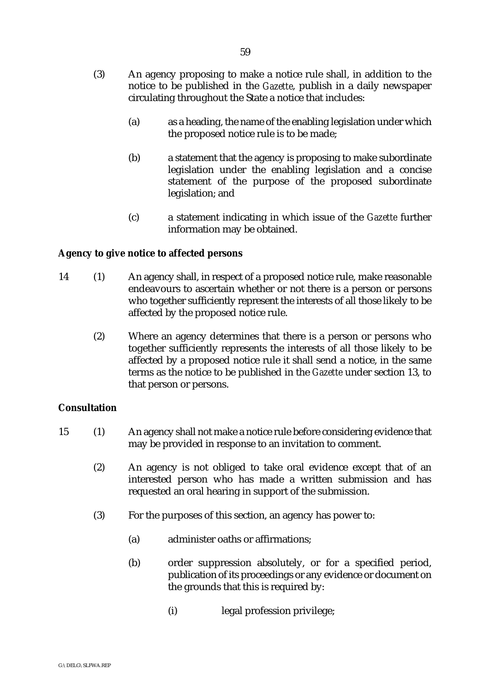- (3) An agency proposing to make a notice rule shall, in addition to the notice to be published in the *Gazette*, publish in a daily newspaper circulating throughout the State a notice that includes:
	- (a) as a heading, the name of the enabling legislation under which the proposed notice rule is to be made;
	- (b) a statement that the agency is proposing to make subordinate legislation under the enabling legislation and a concise statement of the purpose of the proposed subordinate legislation; and
	- (c) a statement indicating in which issue of the *Gazette* further information may be obtained.

# **Agency to give notice to affected persons**

- 14 (1) An agency shall, in respect of a proposed notice rule, make reasonable endeavours to ascertain whether or not there is a person or persons who together sufficiently represent the interests of all those likely to be affected by the proposed notice rule.
	- (2) Where an agency determines that there is a person or persons who together sufficiently represents the interests of all those likely to be affected by a proposed notice rule it shall send a notice, in the same terms as the notice to be published in the *Gazette* under section 13, to that person or persons.

# **Consultation**

- 15 (1) An agency shall not make a notice rule before considering evidence that may be provided in response to an invitation to comment.
	- (2) An agency is not obliged to take oral evidence except that of an interested person who has made a written submission and has requested an oral hearing in support of the submission.
	- (3) For the purposes of this section, an agency has power to:
		- (a) administer oaths or affirmations;
		- (b) order suppression absolutely, or for a specified period, publication of its proceedings or any evidence or document on the grounds that this is required by:
			- (i) legal profession privilege;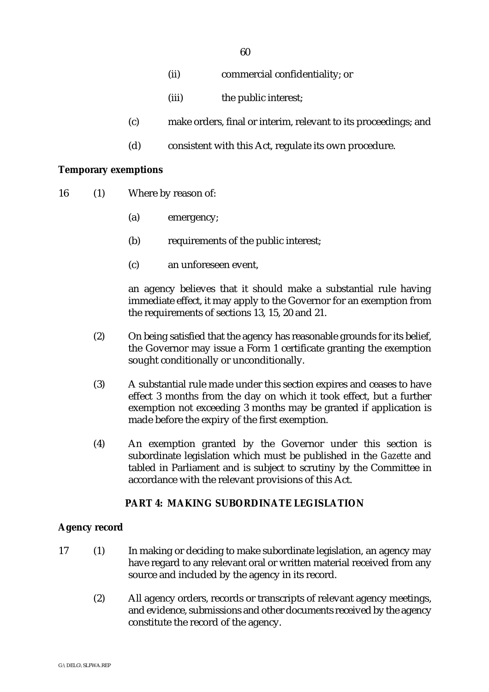- (ii) commercial confidentiality; or
- (iii) the public interest;
- (c) make orders, final or interim, relevant to its proceedings; and
- (d) consistent with this Act, regulate its own procedure.

#### **Temporary exemptions**

- 16 (1) Where by reason of:
	- (a) emergency;
	- (b) requirements of the public interest;
	- (c) an unforeseen event,

an agency believes that it should make a substantial rule having immediate effect, it may apply to the Governor for an exemption from the requirements of sections 13, 15, 20 and 21.

- (2) On being satisfied that the agency has reasonable grounds for its belief, the Governor may issue a Form 1 certificate granting the exemption sought conditionally or unconditionally.
- (3) A substantial rule made under this section expires and ceases to have effect 3 months from the day on which it took effect, but a further exemption not exceeding 3 months may be granted if application is made before the expiry of the first exemption.
- (4) An exemption granted by the Governor under this section is subordinate legislation which must be published in the *Gazette* and tabled in Parliament and is subject to scrutiny by the Committee in accordance with the relevant provisions of this Act.

#### **PART 4: MAKING SUBORDINATE LEGISLATION**

#### **Agency record**

- 17 (1) In making or deciding to make subordinate legislation, an agency may have regard to any relevant oral or written material received from any source and included by the agency in its record.
	- (2) All agency orders, records or transcripts of relevant agency meetings, and evidence, submissions and other documents received by the agency constitute the record of the agency.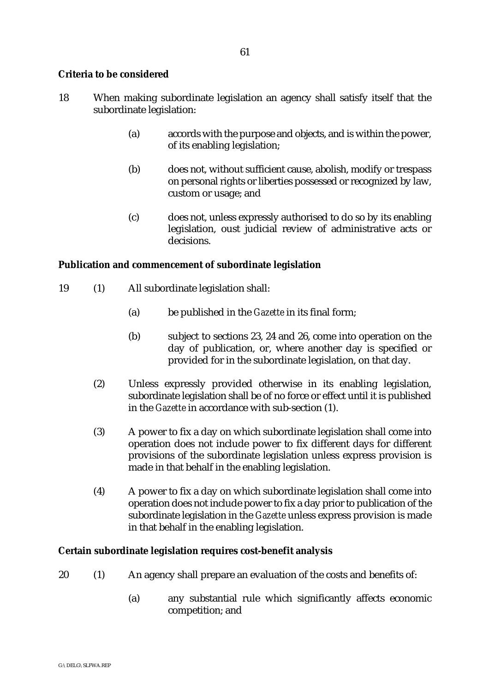# **Criteria to be considered**

- 18 When making subordinate legislation an agency shall satisfy itself that the subordinate legislation:
	- (a) accords with the purpose and objects, and is within the power, of its enabling legislation;
	- (b) does not, without sufficient cause, abolish, modify or trespass on personal rights or liberties possessed or recognized by law, custom or usage; and
	- (c) does not, unless expressly authorised to do so by its enabling legislation, oust judicial review of administrative acts or decisions.

# **Publication and commencement of subordinate legislation**

- 19 (1) All subordinate legislation shall:
	- (a) be published in the *Gazette* in its final form;
	- (b) subject to sections 23, 24 and 26, come into operation on the day of publication, or, where another day is specified or provided for in the subordinate legislation, on that day.
	- (2) Unless expressly provided otherwise in its enabling legislation, subordinate legislation shall be of no force or effect until it is published in the *Gazette* in accordance with sub-section (1).
	- (3) A power to fix a day on which subordinate legislation shall come into operation does not include power to fix different days for different provisions of the subordinate legislation unless express provision is made in that behalf in the enabling legislation.
	- (4) A power to fix a day on which subordinate legislation shall come into operation does not include power to fix a day prior to publication of the subordinate legislation in the *Gazette* unless express provision is made in that behalf in the enabling legislation.

#### **Certain subordinate legislation requires cost-benefit analysis**

- 20 (1) An agency shall prepare an evaluation of the costs and benefits of:
	- (a) any substantial rule which significantly affects economic competition; and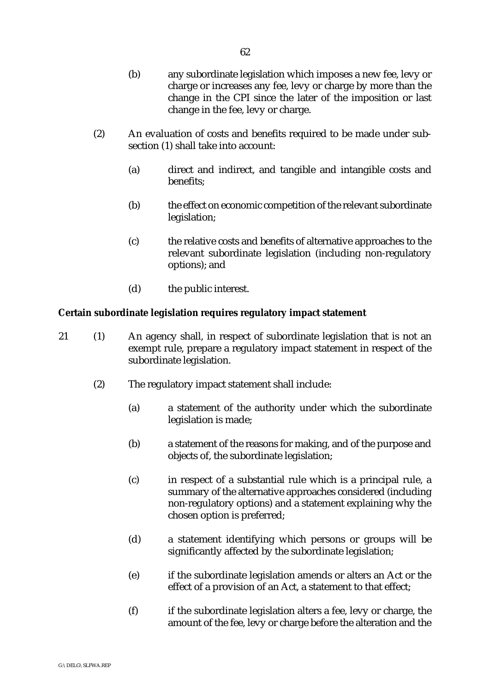- (b) any subordinate legislation which imposes a new fee, levy or charge or increases any fee, levy or charge by more than the change in the CPI since the later of the imposition or last change in the fee, levy or charge.
- (2) An evaluation of costs and benefits required to be made under subsection (1) shall take into account:
	- (a) direct and indirect, and tangible and intangible costs and benefits;
	- (b) the effect on economic competition of the relevant subordinate legislation;
	- (c) the relative costs and benefits of alternative approaches to the relevant subordinate legislation (including non-regulatory options); and
	- (d) the public interest.

# **Certain subordinate legislation requires regulatory impact statement**

- 21 (1) An agency shall, in respect of subordinate legislation that is not an exempt rule, prepare a regulatory impact statement in respect of the subordinate legislation.
	- (2) The regulatory impact statement shall include:
		- (a) a statement of the authority under which the subordinate legislation is made;
		- (b) a statement of the reasons for making, and of the purpose and objects of, the subordinate legislation;
		- (c) in respect of a substantial rule which is a principal rule, a summary of the alternative approaches considered (including non-regulatory options) and a statement explaining why the chosen option is preferred;
		- (d) a statement identifying which persons or groups will be significantly affected by the subordinate legislation;
		- (e) if the subordinate legislation amends or alters an Act or the effect of a provision of an Act, a statement to that effect;
		- (f) if the subordinate legislation alters a fee, levy or charge, the amount of the fee, levy or charge before the alteration and the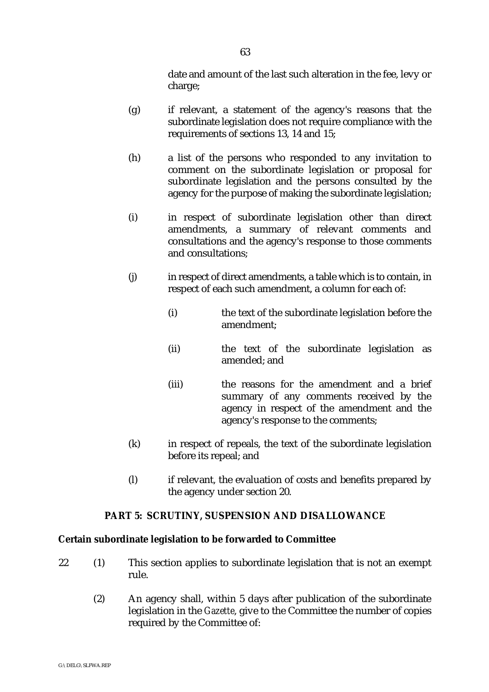date and amount of the last such alteration in the fee, levy or charge;

- (g) if relevant, a statement of the agency's reasons that the subordinate legislation does not require compliance with the requirements of sections 13, 14 and 15;
- (h) a list of the persons who responded to any invitation to comment on the subordinate legislation or proposal for subordinate legislation and the persons consulted by the agency for the purpose of making the subordinate legislation;
- (i) in respect of subordinate legislation other than direct amendments, a summary of relevant comments and consultations and the agency's response to those comments and consultations;
- (j) in respect of direct amendments, a table which is to contain, in respect of each such amendment, a column for each of:
	- (i) the text of the subordinate legislation before the amendment;
	- (ii) the text of the subordinate legislation as amended; and
	- (iii) the reasons for the amendment and a brief summary of any comments received by the agency in respect of the amendment and the agency's response to the comments;
- (k) in respect of repeals, the text of the subordinate legislation before its repeal; and
- (l) if relevant, the evaluation of costs and benefits prepared by the agency under section 20.

# **PART 5: SCRUTINY, SUSPENSION AND DISALLOWANCE**

# **Certain subordinate legislation to be forwarded to Committee**

- 22 (1) This section applies to subordinate legislation that is not an exempt rule.
	- (2) An agency shall, within 5 days after publication of the subordinate legislation in the *Gazette*, give to the Committee the number of copies required by the Committee of: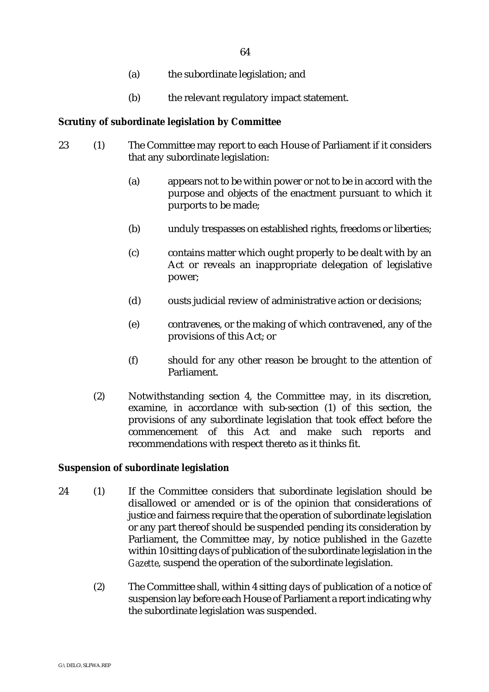- (a) the subordinate legislation; and
- (b) the relevant regulatory impact statement.

# **Scrutiny of subordinate legislation by Committee**

- 23 (1) The Committee may report to each House of Parliament if it considers that any subordinate legislation:
	- (a) appears not to be within power or not to be in accord with the purpose and objects of the enactment pursuant to which it purports to be made;
	- (b) unduly trespasses on established rights, freedoms or liberties;
	- (c) contains matter which ought properly to be dealt with by an Act or reveals an inappropriate delegation of legislative power;
	- (d) ousts judicial review of administrative action or decisions;
	- (e) contravenes, or the making of which contravened, any of the provisions of this Act; or
	- (f) should for any other reason be brought to the attention of Parliament.
	- (2) Notwithstanding section 4, the Committee may, in its discretion, examine, in accordance with sub-section (1) of this section, the provisions of any subordinate legislation that took effect before the commencement of this Act and make such reports and recommendations with respect thereto as it thinks fit.

#### **Suspension of subordinate legislation**

- 24 (1) If the Committee considers that subordinate legislation should be disallowed or amended or is of the opinion that considerations of justice and fairness require that the operation of subordinate legislation or any part thereof should be suspended pending its consideration by Parliament, the Committee may, by notice published in the *Gazette* within 10 sitting days of publication of the subordinate legislation in the *Gazette*, suspend the operation of the subordinate legislation.
	- (2) The Committee shall, within 4 sitting days of publication of a notice of suspension lay before each House of Parliament a report indicating why the subordinate legislation was suspended.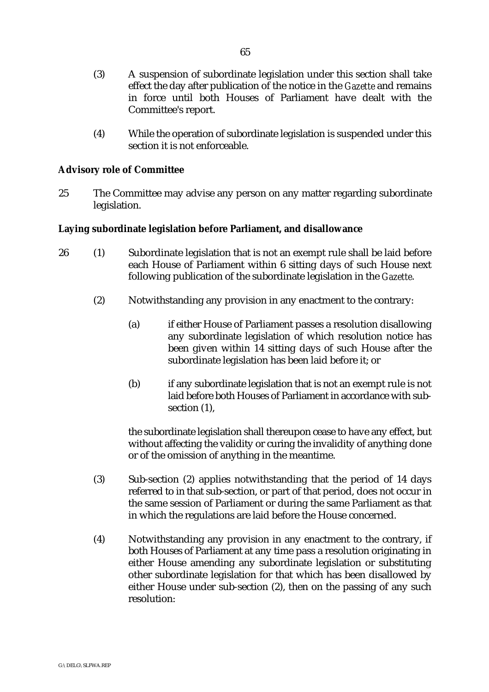- (3) A suspension of subordinate legislation under this section shall take effect the day after publication of the notice in the *Gazette* and remains in force until both Houses of Parliament have dealt with the Committee's report.
- (4) While the operation of subordinate legislation is suspended under this section it is not enforceable.

# **Advisory role of Committee**

25 The Committee may advise any person on any matter regarding subordinate legislation.

# **Laying subordinate legislation before Parliament, and disallowance**

- 26 (1) Subordinate legislation that is not an exempt rule shall be laid before each House of Parliament within 6 sitting days of such House next following publication of the subordinate legislation in the *Gazette*.
	- (2) Notwithstanding any provision in any enactment to the contrary:
		- (a) if either House of Parliament passes a resolution disallowing any subordinate legislation of which resolution notice has been given within 14 sitting days of such House after the subordinate legislation has been laid before it; or
		- (b) if any subordinate legislation that is not an exempt rule is not laid before both Houses of Parliament in accordance with subsection  $(1)$ ,

the subordinate legislation shall thereupon cease to have any effect, but without affecting the validity or curing the invalidity of anything done or of the omission of anything in the meantime.

- (3) Sub-section (2) applies notwithstanding that the period of 14 days referred to in that sub-section, or part of that period, does not occur in the same session of Parliament or during the same Parliament as that in which the regulations are laid before the House concerned.
- (4) Notwithstanding any provision in any enactment to the contrary, if both Houses of Parliament at any time pass a resolution originating in either House amending any subordinate legislation or substituting other subordinate legislation for that which has been disallowed by either House under sub-section (2), then on the passing of any such resolution: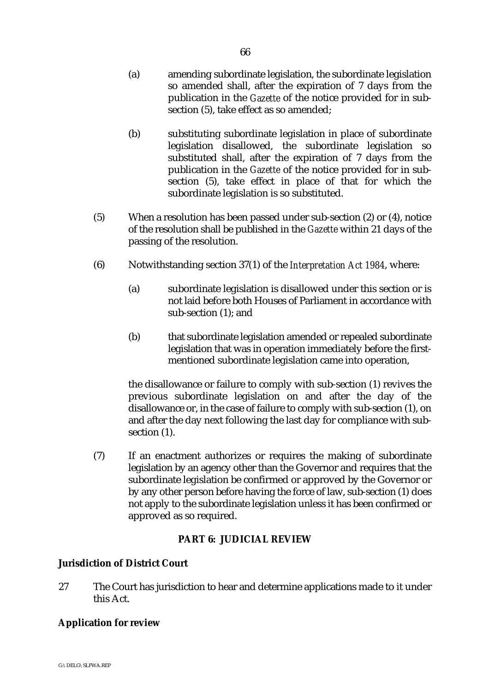- (a) amending subordinate legislation, the subordinate legislation so amended shall, after the expiration of 7 days from the publication in the *Gazette* of the notice provided for in subsection (5), take effect as so amended;
- (b) substituting subordinate legislation in place of subordinate legislation disallowed, the subordinate legislation so substituted shall, after the expiration of 7 days from the publication in the *Gazette* of the notice provided for in subsection (5), take effect in place of that for which the subordinate legislation is so substituted.
- (5) When a resolution has been passed under sub-section (2) or (4), notice of the resolution shall be published in the *Gazette* within 21 days of the passing of the resolution.
- (6) Notwithstanding section 37(1) of the *Interpretation Act 1984*, where:
	- (a) subordinate legislation is disallowed under this section or is not laid before both Houses of Parliament in accordance with sub-section (1); and
	- (b) that subordinate legislation amended or repealed subordinate legislation that was in operation immediately before the firstmentioned subordinate legislation came into operation,

the disallowance or failure to comply with sub-section (1) revives the previous subordinate legislation on and after the day of the disallowance or, in the case of failure to comply with sub-section (1), on and after the day next following the last day for compliance with subsection  $(1)$ .

(7) If an enactment authorizes or requires the making of subordinate legislation by an agency other than the Governor and requires that the subordinate legislation be confirmed or approved by the Governor or by any other person before having the force of law, sub-section (1) does not apply to the subordinate legislation unless it has been confirmed or approved as so required.

# **PART 6: JUDICIAL REVIEW**

# **Jurisdiction of District Court**

27 The Court has jurisdiction to hear and determine applications made to it under this Act.

# **Application for review**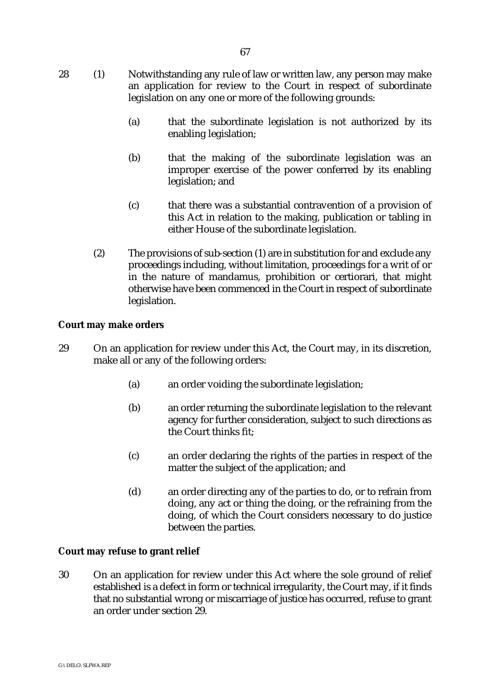- 28 (1) Notwithstanding any rule of law or written law, any person may make an application for review to the Court in respect of subordinate legislation on any one or more of the following grounds:
	- (a) that the subordinate legislation is not authorized by its enabling legislation;
	- (b) that the making of the subordinate legislation was an improper exercise of the power conferred by its enabling legislation; and
	- (c) that there was a substantial contravention of a provision of this Act in relation to the making, publication or tabling in either House of the subordinate legislation.
	- (2) The provisions of sub-section (1) are in substitution for and exclude any proceedings including, without limitation, proceedings for a writ of or in the nature of mandamus, prohibition or certiorari, that might otherwise have been commenced in the Court in respect of subordinate legislation.

# **Court may make orders**

- 29 On an application for review under this Act, the Court may, in its discretion, make all or any of the following orders:
	- (a) an order voiding the subordinate legislation;
	- (b) an order returning the subordinate legislation to the relevant agency for further consideration, subject to such directions as the Court thinks fit;
	- (c) an order declaring the rights of the parties in respect of the matter the subject of the application; and
	- (d) an order directing any of the parties to do, or to refrain from doing, any act or thing the doing, or the refraining from the doing, of which the Court considers necessary to do justice between the parties.

# **Court may refuse to grant relief**

30 On an application for review under this Act where the sole ground of relief established is a defect in form or technical irregularity, the Court may, if it finds that no substantial wrong or miscarriage of justice has occurred, refuse to grant an order under section 29.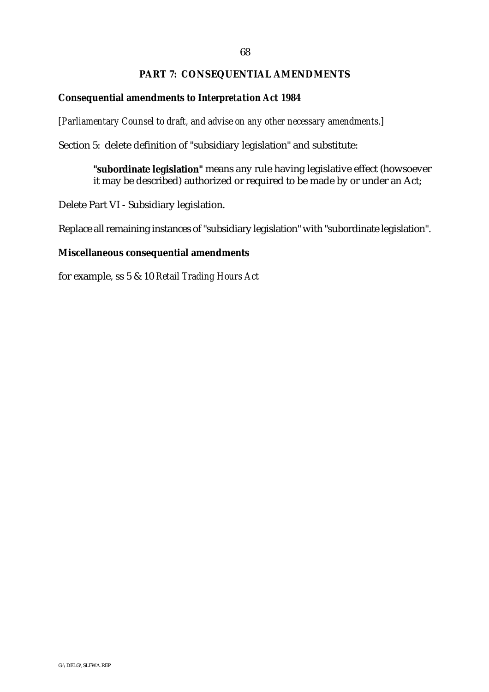#### 68

## **PART 7: CONSEQUENTIAL AMENDMENTS**

#### **Consequential amendments to** *Interpretation Act 1984*

*[Parliamentary Counsel to draft, and advise on any other necessary amendments.]*

Section 5: delete definition of "subsidiary legislation" and substitute:

**"subordinate legislation"** means any rule having legislative effect (howsoever it may be described) authorized or required to be made by or under an Act;

Delete Part VI - Subsidiary legislation.

Replace all remaining instances of "subsidiary legislation" with "subordinate legislation".

### **Miscellaneous consequential amendments**

for example, ss 5 & 10 *Retail Trading Hours Act*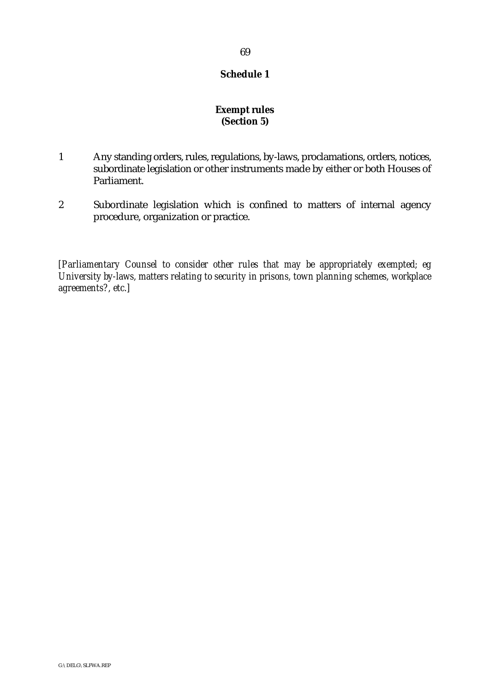# 69

#### **Schedule 1**

# **Exempt rules (Section 5)**

- 1 Any standing orders, rules, regulations, by-laws, proclamations, orders, notices, subordinate legislation or other instruments made by either or both Houses of Parliament.
- 2 Subordinate legislation which is confined to matters of internal agency procedure, organization or practice.

*[Parliamentary Counsel to consider other rules that may be appropriately exempted; eg University by-laws, matters relating to security in prisons, town planning schemes, workplace agreements?, etc.]*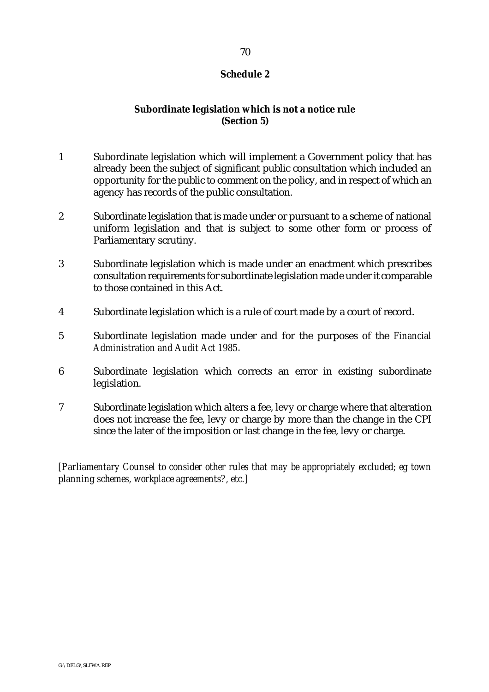## **Schedule 2**

# **Subordinate legislation which is not a notice rule (Section 5)**

- 1 Subordinate legislation which will implement a Government policy that has already been the subject of significant public consultation which included an opportunity for the public to comment on the policy, and in respect of which an agency has records of the public consultation.
- 2 Subordinate legislation that is made under or pursuant to a scheme of national uniform legislation and that is subject to some other form or process of Parliamentary scrutiny.
- 3 Subordinate legislation which is made under an enactment which prescribes consultation requirements for subordinate legislation made under it comparable to those contained in this Act.
- 4 Subordinate legislation which is a rule of court made by a court of record.
- 5 Subordinate legislation made under and for the purposes of the *Financial Administration and Audit Act 1985*.
- 6 Subordinate legislation which corrects an error in existing subordinate legislation.
- 7 Subordinate legislation which alters a fee, levy or charge where that alteration does not increase the fee, levy or charge by more than the change in the CPI since the later of the imposition or last change in the fee, levy or charge.

*[Parliamentary Counsel to consider other rules that may be appropriately excluded; eg town planning schemes, workplace agreements?, etc.]*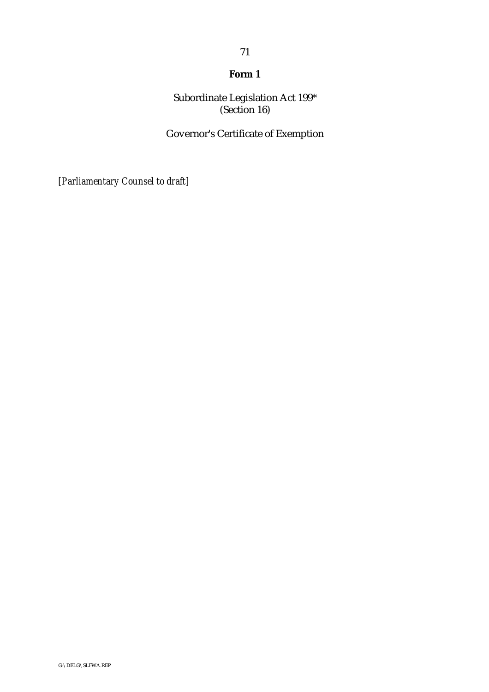# **Form 1**

Subordinate Legislation Act 199\* (Section 16)

Governor's Certificate of Exemption

*[Parliamentary Counsel to draft]*